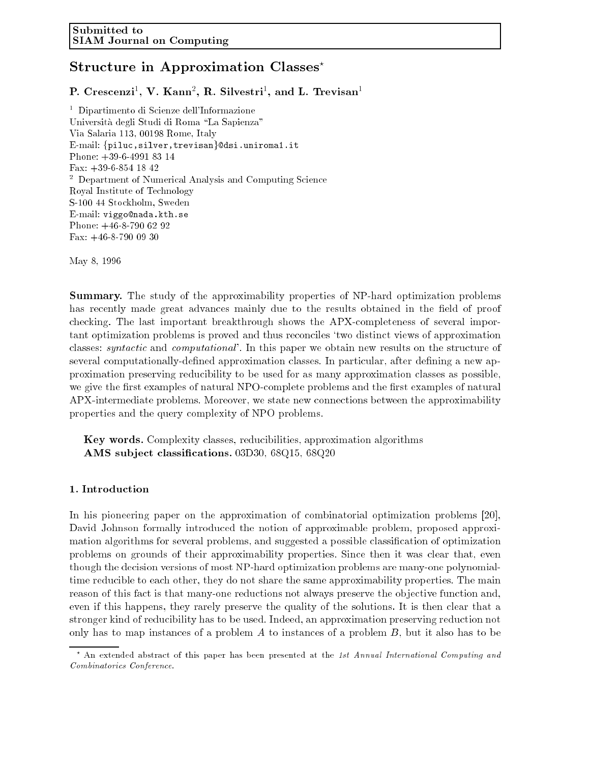# Structure in Approximation Classes<sup>\*</sup>

r. Crescenzi , v. Kann , K. Silvestri , and L. Trevisan

<sup>1</sup> Dipartimento di Scienze dell'Informazione Università degli Studi di Roma "La Sapienza" Via Salaria 113, 00198 Rome, Italy E-mail:  $\{\text{piluc}, \text{silver}, \text{trevisan}\}$ @dsi.uniroma1.it Phone: +39-6-4991 83 14 Fax: +39-6-854 18 42 <sup>2</sup> Department of Numerical Analysis and Computing Science Royal Institute of Technology S-100 44 Stockholm, Sweden E-mail: viggo@nada.kth.se Phone: +46-8-790 62 92 Fax: +46-8-790 09 30

May 8, 1996

Summary. The study of the approximability properties of NP-hard optimization problems has recently made great advances mainly due to the results obtained in the field of proof checking. The last important breakthrough shows the APX-completeness of several important optimization problems is proved and thus reconciles `two distinct views of approximation classes: *syntactic* and *computational*. In this paper we obtain new results on the structure of several computationally-defined approximation classes. In particular, after defining a new approximation preserving reducibility to be used for as many approximation classes as possible, we give the first examples of natural NPO-complete problems and the first examples of natural APX-intermediate problems. Moreover, we state new connections between the approximability properties and the query complexity of NPO problems.

Key words. Complexity classes, reducibilities, approximation algorithms AMS sub ject classications. 03D30, 68Q15, 68Q20

# 1. Introduction

In his pioneering paper on the approximation of combinatorial optimization problems [20], David Johnson formally introduced the notion of approximable problem, proposed approximation algorithms for several problems, and suggested a possible classication of optimization problems on grounds of their approximability properties. Since then it was clear that, even though the decision versions of most NP-hard optimization problems are many-one polynomialtime reducible to each other, they do not share the same approximability properties. The main reason of this fact is that many-one reductions not always preserve the objective function and, even if this happens, they rarely preserve the quality of the solutions. It is then clear that a stronger kind of reducibility has to be used. Indeed, an approximation preserving reduction not only has to map instances of a problem A to instances of a problem B, but it also has to be

<sup>&</sup>lt;sup>\*</sup> An extended abstract of this paper has been presented at the 1st Annual International Computing and Combinatorics Conference.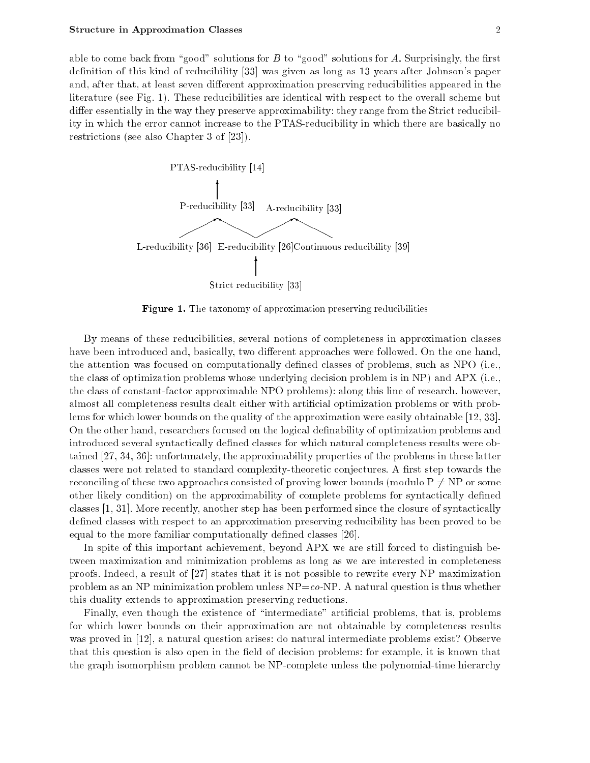able to come back from "good" solutions for B to "good" solutions for A. Surprisingly, the first definition of this kind of reducibility [33] was given as long as 13 years after Johnson's paper and, after that, at least seven different approximation preserving reducibilities appeared in the literature (see Fig. 1). These reducibilities are identical with respect to the overall scheme but differ essentially in the way they preserve approximability: they range from the Strict reducibility in which the error cannot increase to the PTAS-reducibility in which there are basically no restrictions (see also Chapter 3 of [23]).



Figure 1. The taxonomy of approximation preserving reducibilities

By means of these reducibilities, several notions of completeness in approximation classes have been introduced and, basically, two different approaches were followed. On the one hand, the attention was focused on computationally dened classes of problems, such as NPO (i.e., the class of optimization problems whose underlying decision problem is in NP) and APX (i.e., the class of constant-factor approximable NPO problems): along this line of research, however, almost all completeness results dealt either with articial optimization problems or with problems for which lower bounds on the quality of the approximation were easily obtainable [12, 33]. On the other hand, researchers focused on the logical denability of optimization problems and introduced several syntactically defined classes for which natural completeness results were obtained [27, 34, 36]: unfortunately, the approximability properties of the problems in these latter classes were not related to standard complexity-theoretic conjectures. A first step towards the reconciling of these two approaches consisted of proving lower bounds (modulo  $P \neq NP$  or some other likely condition) on the approximability of complete problems for syntactically dened classes [1, 31]. More recently, another step has been performed since the closure of syntactically defined classes with respect to an approximation preserving reducibility has been proved to be equal to the more familiar computationally defined classes [26].

In spite of this important achievement, beyond APX we are still forced to distinguish between maximization and minimization problems as long as we are interested in completeness proofs. Indeed, a result of [27] states that it is not possible to rewrite every NP maximization problem as an NP minimization problem unless  $NP = co-NP$ . A natural question is thus whether this duality extends to approximation preserving reductions.

Finally, even though the existence of "intermediate" artificial problems, that is, problems for which lower bounds on their approximation are not obtainable by completeness results was proved in [12], a natural question arises: do natural intermediate problems exist? Observe that this question is also open in the field of decision problems: for example, it is known that the graph isomorphism problem cannot be NP-complete unless the polynomial-time hierarchy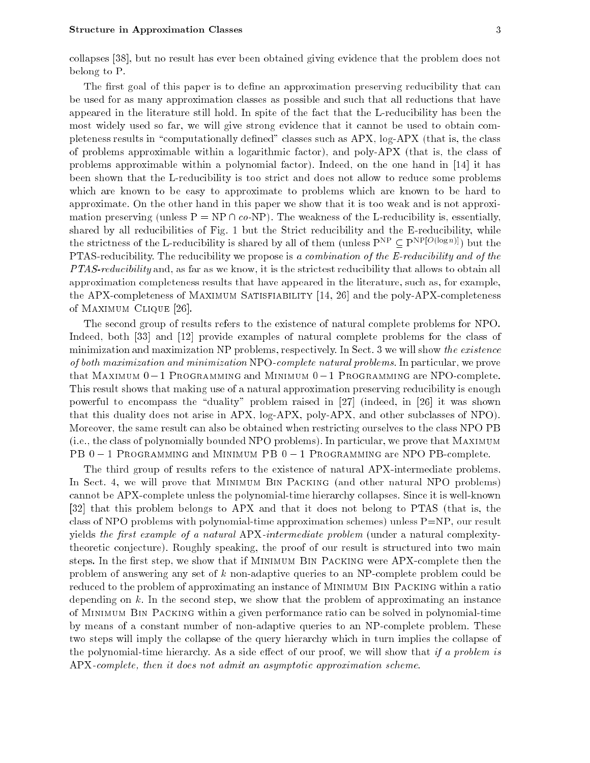collapses [38], but no result has ever been obtained giving evidence that the problem does not belong to P.

The first goal of this paper is to define an approximation preserving reducibility that can be used for as many approximation classes as possible and such that all reductions that have appeared in the literature still hold. In spite of the fact that the L-reducibility has been the most widely used so far, we will give strong evidence that it cannot be used to obtain completeness results in "computationally defined" classes such as  $APX$ , log- $APX$  (that is, the class of problems approximable within a logarithmic factor), and poly-APX (that is, the class of problems approximable within a polynomial factor). Indeed, on the one hand in [14] it has been shown that the L-reducibility is too strict and does not allow to reduce some problems which are known to be easy to approximate to problems which are known to be hard to approximate. On the other hand in this paper we show that it is too weak and is not approximation preserving (unless  $P = NP \cap co-NP$ ). The weakness of the L-reducibility is, essentially, shared by all reducibilities of Fig. 1 but the Strict reducibility and the E-reducibility, while the strictness of the L-reducibility is shared by all of them (unless  $P^{NP} \subseteq P^{NP[O(\log n)]})$  but the PTAS-reducibility. The reducibility we propose is a combination of the E-reducibility and of the PTAS-reducibility and, as far as we know, it is the strictest reducibility that allows to obtain all approximation completeness results that have appeared in the literature, such as, for example, the APX-completeness of Maximum Satisfiability [14, 26] and the poly-APX-completeness of Maximum Clique [26].

The second group of results refers to the existence of natural complete problems for NPO. Indeed, both [33] and [12] provide examples of natural complete problems for the class of minimization and maximization NP problems, respectively. In Sect. 3 we will show the existence of both maximization and minimization NPO-complete natural problems. In particular, we prove that MAXIMUM  $0-1$  Programming and Minimum  $0-1$  Programming are NPO-complete. This result shows that making use of a natural approximation preserving reducibility is enough powerful to encompass the "duality" problem raised in  $[27]$  (indeed, in  $[26]$  it was shown that this duality does not arise in APX, log-APX, poly-APX, and other subclasses of NPO). Moreover, the same result can also be obtained when restricting ourselves to the class NPO PB (i.e., the class of polynomially bounded NPO problems). In particular, we prove that Maximum PB  $0-1$  Programming and Minimum PB  $0-1$  Programming are NPO PB-complete.

The third group of results refers to the existence of natural APX-intermediate problems. In Sect. 4, we will prove that Minimum Bin Packing (and other natural NPO problems) cannot be APX-complete unless the polynomial-time hierarchy collapses. Since it is well-known [32] that this problem belongs to APX and that it does not belong to PTAS (that is, the class of NPO problems with polynomial-time approximation schemes) unless P=NP, our result yields the first example of a natural APX-intermediate problem (under a natural complexitytheoretic conjecture). Roughly speaking, the proof of our result is structured into two main steps. In the first step, we show that if MINIMUM BIN PACKING were APX-complete then the problem of answering any set of k non-adaptive queries to an NP-complete problem could be reduced to the problem of approximating an instance of MINIMUM BIN PACKING within a ratio depending on  $k$ . In the second step, we show that the problem of approximating an instance of Minimum Bin Packing within a given performance ratio can be solved in polynomial-time by means of a constant number of non-adaptive queries to an NP-complete problem. These two steps will imply the collapse of the query hierarchy which in turn implies the collapse of the polynomial-time hierarchy. As a side effect of our proof, we will show that if a problem is APX-complete, then it does not admit an asymptotic approximation scheme.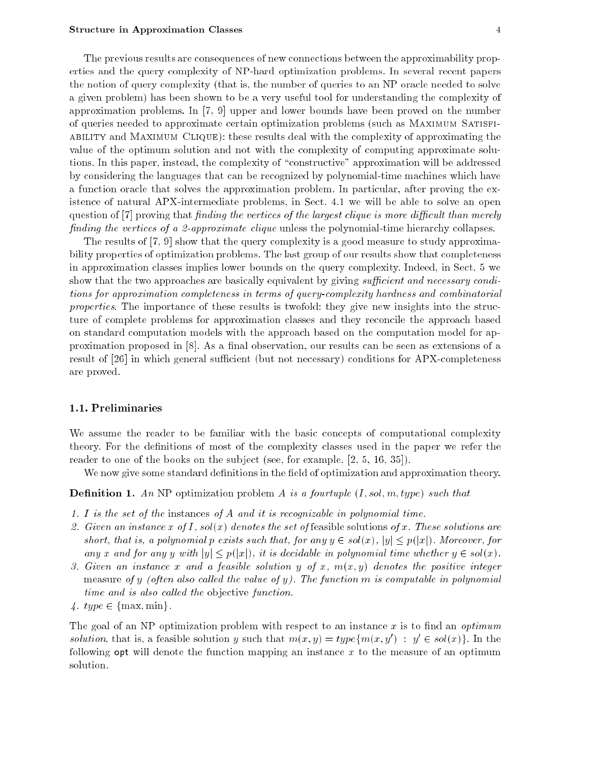The previous results are consequences of new connections between the approximability properties and the query complexity of NP-hard optimization problems. In several recent papers the notion of query complexity (that is, the number of queries to an NP oracle needed to solve a given problem) has been shown to be a very useful tool for understanding the complexity of approximation problems. In [7, 9] upper and lower bounds have been proved on the number of queries needed to approximate certain optimization problems (such as Maximum Satisfiability and Maximum Clique): these results deal with the complexity of approximating the value of the optimum solution and not with the complexity of computing approximate solutions. In this paper, instead, the complexity of \constructive" approximation will be addressed by considering the languages that can be recognized by polynomial-time machines which have a function oracle that solves the approximation problem. In particular, after proving the existence of natural APX-intermediate problems, in Sect. 4.1 we will be able to solve an open question of  $[7]$  proving that finding the vertices of the largest clique is more difficult than merely finding the vertices of a 2-approximate clique unless the polynomial-time hierarchy collapses.

The results of [7, 9] show that the query complexity is a good measure to study approximability properties of optimization problems. The last group of our results show that completeness in approximation classes implies lower bounds on the query complexity. Indeed, in Sect. 5 we show that the two approaches are basically equivalent by giving sufficient and necessary conditions for approximation completeness in terms of query-complexity hardness and combinatorial properties. The importance of these results is twofold: they give new insights into the structure of complete problems for approximation classes and they reconcile the approach based on standard computation models with the approach based on the computation model for approximation proposed in  $[8]$ . As a final observation, our results can be seen as extensions of a result of  $[26]$  in which general sufficient (but not necessary) conditions for APX-completeness are proved.

## 1.1. Preliminaries

We assume the reader to be familiar with the basic concepts of computational complexity theory. For the denitions of most of the complexity classes used in the paper we refer the reader to one of the books on the subject (see, for example, [2, 5, 16, 35]).

We now give some standard definitions in the field of optimization and approximation theory.

**Definition 1.** An NP optimization problem A is a fourtuple  $(I, sol, m, type)$  such that

- 1. I is the set of the instances of A and it is recognizable in polynomial time.
- 2. Given an instance x of I, sol(x) denotes the set of feasible solutions of x. These solutions are short, that is, a polynomial p exists such that, for any  $y \in sol(x)$ ,  $|y| \leq p(|x|)$ . Moreover, for any x and for any y with  $|y| \leq p(|x|)$ , it is decidable in polynomial time whether  $y \in sol(x)$ .
- 3. Given an instance x and a feasible solution y of x,  $m(x, y)$  denotes the positive integer measure of y (often also called the value of y). The function  $m$  is computable in polynomial time and is also called the objective function.
- 4.  $type \in \{max, min\}$ .

The goal of an NP optimization problem with respect to an instance x is to find an *optimum* solution, that is, a feasible solution y such that  $m(x, y) = \iota y p e_{\{m(x, y)\}}$   $\colon y \in so(\{x\})$ . In the following opt will denote the function mapping an instance  $x$  to the measure of an optimum solution.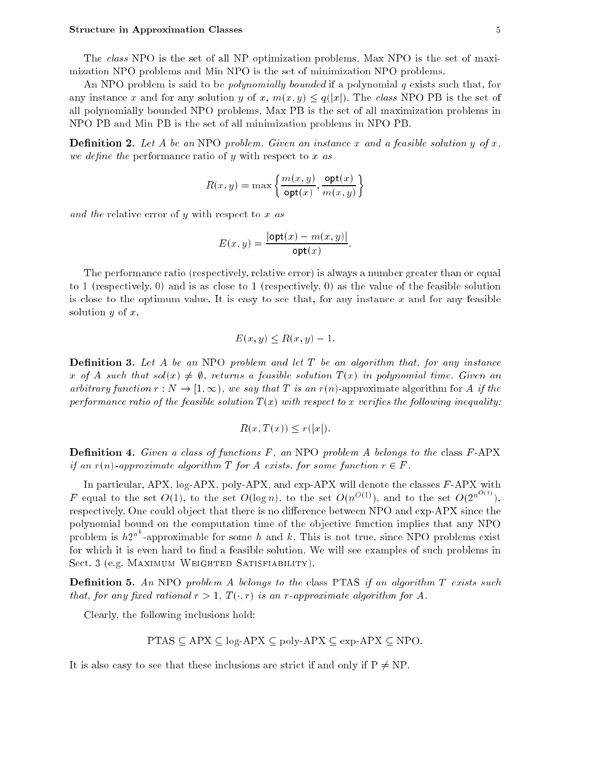#### Structure in Approximation Classes 5 and 3 and 3 and 3 and 3 and 3 and 3 and 3 and 3 and 3 and 3 and 3 and 3 and 3 and 3 and 3 and 3 and 3 and 3 and 3 and 3 and 3 and 3 and 3 and 3 and 3 and 3 and 3 and 3 and 3 and 3 and 3

An NPO problem is said to be *polynomially bounded* if a polynomial  $q$  exists such that, for any instance x and for any solution y of x,  $m(x, y) \leq q(|x|)$ . The class NPO PB is the set of all polynomially bounded NPO problems. Max PB is the set of all maximization problems in NPO PB and Min PB is the set of all minimization problems in NPO PB.

**Definition 2.** Let A be an NPO problem. Given an instance x and a feasible solution y of x, we define the performance ratio of y with respect to x as

$$
R(x,y)=\max\left\{\frac{m(x,y)}{\textsf{opt}(x)},\frac{\textsf{opt}(x)}{m(x,y)}\right\}
$$

and the relative error of y with respect to  $x$  as

$$
E(x, y) = \frac{|\text{opt}(x) - m(x, y)|}{\text{opt}(x)}.
$$

The performance ratio (respectively, relative error) is always a number greater than or equal to 1 (respectively, 0) and is as close to 1 (respectively, 0) as the value of the feasible solution is close to the optimum value. It is easy to see that, for any instance  $x$  and for any feasible solution  $y$  of  $x$ ,

$$
E(x, y) \le R(x, y) - 1.
$$

**Definition 3.** Let A be an NPO problem and let T be an algorithm that, for any instance x of A such that  $sol(x) \neq \emptyset$ , returns a feasible solution  $T(x)$  in polynomial time. Given an arbitrary function  $r : N \to [1,\infty)$ , we say that T is an  $r(n)$ -approximate algorithm for A if the performance ratio of the feasible solution  $T(x)$  with respect to x verifies the following inequality:

$$
R(x, T(x)) \le r(|x|).
$$

**Definition 4.** Given a class of functions  $F$ , an NPO problem A belongs to the class  $F$ -APX if an  $r(n)$ -approximate algorithm T for A exists, for some function  $r \in F$ .

In particular,  $APX$ , log-APX, poly-APX, and exp-APX will denote the classes  $F$ -APX with F equal to the set  $O(1)$ , to the set  $O(\log n)$ , to the set  $O(n^{O(1)})$ , and to the set  $O(2^{n^{O(1)}})$ , respectively. One could object that there is no difference between NPO and exp-APX since the polynomial bound on the computation time of the objective function implies that any NPO problem is  $h2^{n^k}$ -approximable for some h and k. This is not true, since NPO problems exist for which it is even hard to find a feasible solution. We will see examples of such problems in Sect. 3 (e.g. MAXIMUM WEIGHTED SATISFIABILITY).

**Definition 5.** An NPO problem A belongs to the class PTAS if an algorithm  $T$  exists such that, for any fixed rational  $r > 1$ ,  $T(\cdot, r)$  is an r-approximate algorithm for A.

Clearly, the following inclusions hold:

PTAS 
$$
\subseteq
$$
 APX  $\subseteq$  log-APX  $\subseteq$  poly-APX  $\subseteq$  exp-APX  $\subseteq$  NPO.

It is also easy to see that these inclusions are strict if and only if  $P \neq NP$ .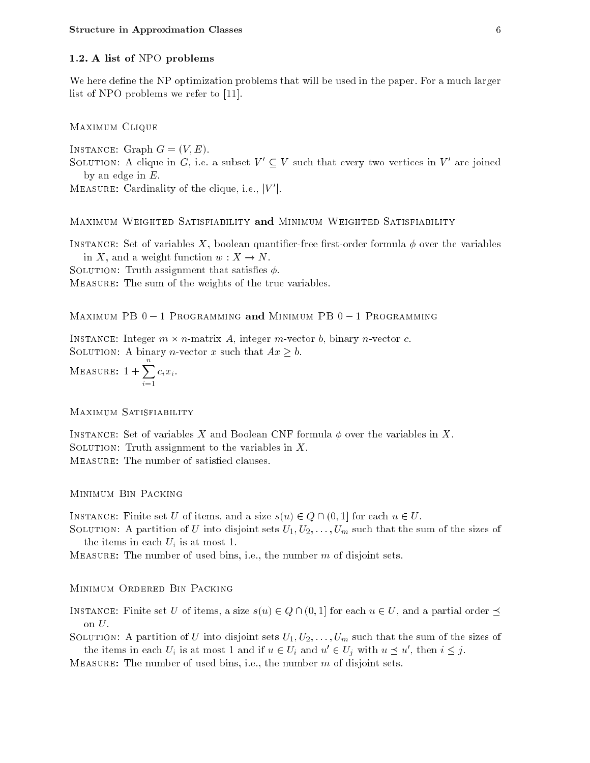## 1.2. A list of NPO problems

We here define the NP optimization problems that will be used in the paper. For a much larger list of NPO problems we refer to [11].

Maximum Clique

INSTANCE: Graph  $G = (V, E)$ . SOLUTION: A chque in G, i.e. a subset  $V_0 \subseteq V_0$  such that every two vertices in  $V_0$  are joined by an edge in  $E$ .

 $MEBSURE$ : Cardinality of the clique, i.e.,  $|V|$ .

MAXIMUM WEIGHTED SATISFIABILITY and MINIMUM WEIGHTED SATISFIABILITY

INSTANCE: Set of variables X, boolean quantifier-free first-order formula  $\phi$  over the variables in X, and a weight function  $w: X \to N$ .

SOLUTION: Truth assignment that satisfies  $\phi$ .

Measure: The sum of the weights of the true variables.

MAXIMUM PB  $0 - 1$  Programming and Minimum PB  $0 - 1$  Programming

Instance: Integer m - n-matrix A, integer m-vector b, binary n-vector c.

SOLUTION: A binary *n*-vector x such that  $Ax \geq b$ .

MEASURE:  $1 + \sum c_i x_i$ .

MAXIMUM SATISFIABILITY

INSTANCE: Set of variables X and Boolean CNF formula  $\phi$  over the variables in X. SOLUTION: Truth assignment to the variables in  $X$ . MEASURE: The number of satisfied clauses.

Minimum Bin Packing

INSTANCE: Finite set U of items, and a size  $s(u) \in Q \cap (0, 1]$  for each  $u \in U$ .

SOLUTION: A partition of U into disjoint sets  $U_1, U_2, \ldots, U_m$  such that the sum of the sizes of the items in each  $U_i$  is at most 1.

MEASURE: The number of used bins, i.e., the number  $m$  of disjoint sets.

Minimum Ordered Bin Packing

INSTANCE: Finite set U of items, a size  $s(u) \in Q \cap (0, 1]$  for each  $u \in U$ , and a partial order  $\preceq$ on  $U$ .

SOLUTION: A partition of U into disjoint sets  $U_1, U_2, \ldots, U_m$  such that the sum of the sizes of the items in each  $U_i$  is at most 1 and if  $u \in U_i$  and  $u_1 \in U_j$  with  $u \supset u$ , then  $i \leq j$ .

MEASURE: The number of used bins, i.e., the number  $m$  of disjoint sets.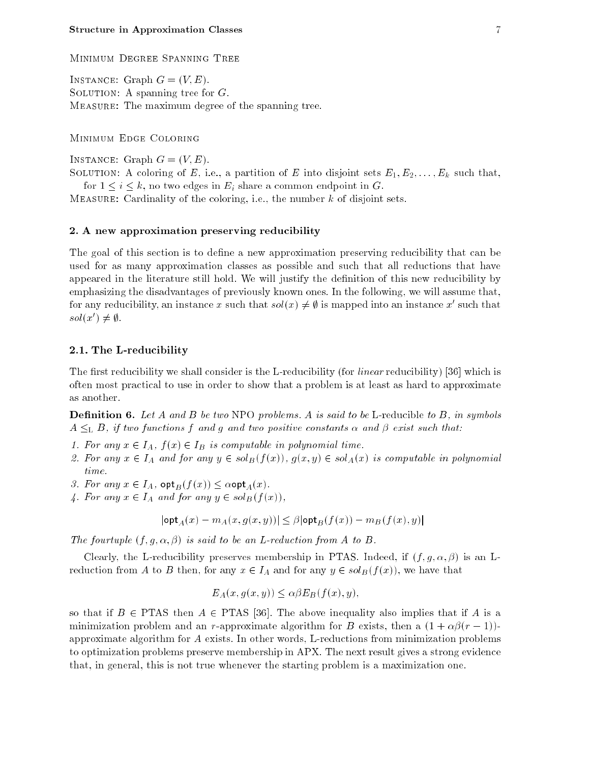Minimum Degree Spanning Tree

INSTANCE: Graph  $G = (V, E)$ . SOLUTION: A spanning tree for  $G$ . Measure: The maximum degree of the spanning tree.

Minimum Edge Coloring

INSTANCE: Graph  $G = (V, E)$ .

SOLUTION: A coloring of E, i.e., a partition of E into disjoint sets  $E_1, E_2, \ldots, E_k$  such that, for  $1 \leq i \leq k$ , no two edges in  $E_i$  share a common endpoint in G.

MEASURE: Cardinality of the coloring, i.e., the number  $k$  of disjoint sets.

## 2. A new approximation preserving reducibility

The goal of this section is to define a new approximation preserving reducibility that can be used for as many approximation classes as possible and such that all reductions that have appeared in the literature still hold. We will justify the definition of this new reducibility by emphasizing the disadvantages of previously known ones. In the following, we will assume that, for any reducibility, an instance  $x$  such that  $sol(x)\neq y$  is mapped into an instance  $x$  -such that  $sou(x) \neq y$ .

## 2.1. The L-reducibility

The first reducibility we shall consider is the L-reducibility (for *linear* reducibility) [36] which is often most practical to use in order to show that a problem is at least as hard to approximate as another.

**Definition 6.** Let A and B be two NPO problems. A is said to be L-reducible to B, in symbols  $A \leq_L B$ , if two functions f and g and two positive constants  $\alpha$  and  $\beta$  exist such that:

- 1. For any  $x \in I_A$ ,  $f(x) \in I_B$  is computable in polynomial time.
- 2. For any  $x \in I_A$  and for any  $y \in sol_B(f(x))$ ,  $g(x, y) \in sol_A(x)$  is computable in polynomial time.
- 3. For any  $x \in I_A$ ,  $\mathsf{opt}_B (f(x)) \leq \alpha \mathsf{opt}_A(x)$ .
- 4. For any  $x \in I_A$  and for any  $y \in sol_B(f(x)),$

$$
|\textsf{opt}_A(x) - m_A(x, g(x, y))| \leq \beta |\textsf{opt}_B(f(x)) - m_B(f(x), y)|
$$

The fourtuple  $(f, g, \alpha, \beta)$  is said to be an L-reduction from A to B.

Clearly, the L-reducibility preserves membership in PTAS. Indeed, if  $(f, q, \alpha, \beta)$  is an Lreduction from A to B then, for any  $x \in I_A$  and for any  $y \in sol_B(f(x))$ , we have that

$$
E_A(x, g(x, y)) \le \alpha \beta E_B(f(x), y),
$$

so that if  $B \in \text{PTAS}$  then  $A \in \text{PTAS}$  [36]. The above inequality also implies that if A is a minimization problem and an r-approximate algorithm for B exists, then a  $(1 + \alpha\beta(r - 1))$ approximate algorithm for A exists. In other words, L-reductions from minimization problems to optimization problems preserve membership in APX. The next result gives a strong evidence that, in general, this is not true whenever the starting problem is a maximization one.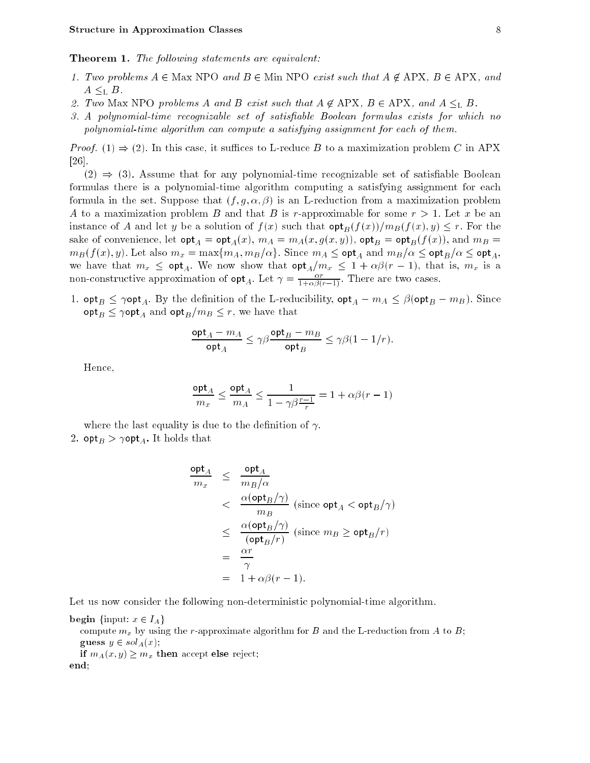**Theorem 1.** The following statements are equivalent:

- 1. Two problems  $A \in \text{Max}$  NPO and  $B \in \text{Min}$  NPO exist such that  $A \notin \text{APX}$ ,  $B \in \text{APX}$ , and  $A \leq_{\text{L}} B$ .
- 2. Two Max NPO problems A and B exist such that  $A \notin \text{APX}$ ,  $B \in \text{APX}$ , and  $A \leq_L B$ .
- 3. A polynomial-time recognizable set of satisfiable Boolean formulas exists for which no polynomial-time algorithm can compute a satisfying assignment for each of them.

*Proof.* (1)  $\Rightarrow$  (2). In this case, it suffices to L-reduce B to a maximization problem C in APX [26].

 $(2) \Rightarrow (3)$ . Assume that for any polynomial-time recognizable set of satisfiable Boolean formulas there is a polynomial-time algorithm computing a satisfying assignment for each formula in the set. Suppose that  $(f, g, \alpha, \beta)$  is an L-reduction from a maximization problem A to a maximization problem B and that B is r-approximable for some  $r > 1$ . Let x be an instance of A and let y be a solution of  $f(x)$  such that  $\mathsf{opt}_B(f(x))/m_B(f(x), y) \leq r$ . For the sake of convenience, let  $\mathsf{opt}_A = \mathsf{opt}_A(x), m_A = m_A(x, g(x, y))$ ,  $\mathsf{opt}_B = \mathsf{opt}_B(f(x))$ , and  $m_B =$  $m_B(f(x), y)$ . Let also  $m_x = \max\{m_A, m_B/\alpha\}$ . Since  $m_A \leq \mathsf{opt}_A$  and  $m_B/\alpha \leq \mathsf{opt}_B/\alpha \leq \mathsf{opt}_A$ , we have that  $m_x \leq \mathsf{opt}_A$ . We now show that  $\mathsf{opt}_A/m_x \leq 1 + \alpha\beta(r - 1)$ , that is,  $m_x$  is a non-constructive approximation of  $\mathsf{opt}_{A}$ . Let  $\gamma = \frac{1}{1 + \alpha \beta(r-1)}$ . There are two cases.

1.  $\text{opt}_B \le \gamma \text{opt}_A$ . By the definition of the L-reducibility,  $\text{opt}_A - m_A \le \beta(\text{opt}_B - m_B)$ . Since  $\mathsf{opt}_B \leq \gamma \mathsf{opt}_A$  and  $\mathsf{opt}_B/m_B \leq r$ , we have that

$$
\frac{\mathsf{opt}_A - m_A}{\mathsf{opt}_A} \leq \gamma \beta \frac{\mathsf{opt}_B - m_B}{\mathsf{opt}_B} \leq \gamma \beta (1 - 1/r).
$$

Hence,

$$
\frac{\mathrm{opt}_A}{m_x} \leq \frac{\mathrm{opt}_A}{m_A} \leq \frac{1}{1-\gamma\beta\frac{r-1}{r}} = 1+\alpha\beta(r-1)
$$

where the last equality is due to the definition of  $\gamma$ . 2.  ${\sf opt}_B > \gamma {\sf opt}_A$ . It holds that

$$
\frac{\mathsf{opt}_A}{m_x} \leq \frac{\mathsf{opt}_A}{m_B/\alpha}
$$
\n
$$
\leq \frac{\alpha(\mathsf{opt}_B/\gamma)}{m_B} \text{ (since } \mathsf{opt}_A < \mathsf{opt}_B/\gamma\text{)}
$$
\n
$$
\leq \frac{\alpha(\mathsf{opt}_B/\gamma)}{(\mathsf{opt}_B/r)} \text{ (since } m_B \geq \mathsf{opt}_B/r\text{)}
$$
\n
$$
= \frac{\alpha r}{\gamma}
$$
\n
$$
= 1 + \alpha \beta(r - 1).
$$

Let us now consider the following non-deterministic polynomial-time algorithm.

begin {input:  $x \in I_A$ }

compute  $m_x$  by using the r-approximate algorithm for B and the L-reduction from A to B; guess  $y \in sol_A(x)$ ;

if  $m_A(x,y) \geq m_x$  then accept else reject; end;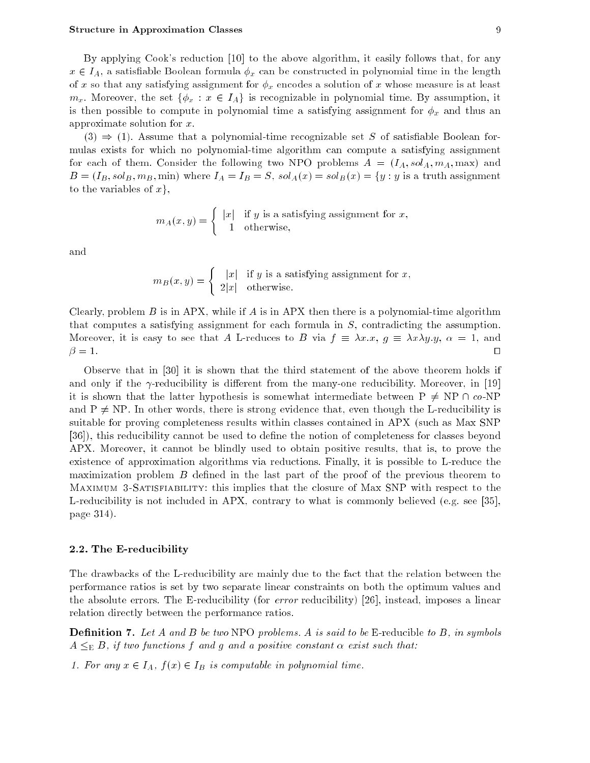By applying Cook's reduction [10] to the above algorithm, it easily follows that, for any  $x \in I_A$ , a satisfiable Boolean formula  $\phi_x$  can be constructed in polynomial time in the length of x so that any satisfying assignment for  $\phi_x$  encodes a solution of x whose measure is at least  $m_x$ . Moreover, the set  $\{\phi_x : x \in I_A\}$  is recognizable in polynomial time. By assumption, it is then possible to compute in polynomial time a satisfying assignment for  $\phi_x$  and thus an approximate solution for x.

 $(3) \Rightarrow (1)$ . Assume that a polynomial-time recognizable set S of satisfiable Boolean formulas exists for which no polynomial-time algorithm can compute a satisfying assignment for each of them. Consider the following two NPO problems  $A = (I_A, sol_A, m_A, \text{max})$  and  $B = (I_B, sol_B, m_B, \text{min})$  where  $I_A = I_B = S$ ,  $sol_A(x) = sol_B(x) = \{y : y \text{ is a truth assignment}\}$ to the variables of  $x$ ,

$$
m_A(x, y) = \begin{cases} |x| & \text{if } y \text{ is a satisfying assignment for } x, \\ 1 & \text{otherwise,} \end{cases}
$$

and

$$
m_B(x, y) = \begin{cases} |x| & \text{if } y \text{ is a satisfying assignment for } x, \\ 2|x| & \text{otherwise.} \end{cases}
$$

Clearly, problem B is in APX, while if A is in APX then there is a polynomial-time algorithm that computes a satisfying assignment for each formula in S, contradicting the assumption. Moreover, it is easy to see that A L-reduces to B via  $f \equiv \lambda x.x, g \equiv \lambda x\lambda y.y, \alpha = 1$ , and  $=$  1. utilization of the 1. utilization of the 1. utilization of the 1. utilization of the 1. utilization of the 1. utilization of the 1. utilization of the 1. utilization of the 1. utilization of the 1. utilization of t

Observe that in [30] it is shown that the third statement of the above theorem holds if and only if the  $\gamma$ -reducibility is different from the many-one reducibility. Moreover, in [19] it is shown that the latter hypothesis is somewhat intermediate between  $P \neq NP \cap co-NP$ and  $P \neq NP$ . In other words, there is strong evidence that, even though the L-reducibility is suitable for proving completeness results within classes contained in APX (such as Max SNP [36]), this reducibility cannot be used to define the notion of completeness for classes beyond APX. Moreover, it cannot be blindly used to obtain positive results, that is, to prove the existence of approximation algorithms via reductions. Finally, it is possible to L-reduce the maximization problem  $B$  defined in the last part of the proof of the previous theorem to Maximum 3-Satisfiability: this implies that the closure of Max SNP with respect to the L-reducibility is not included in APX, contrary to what is commonly believed (e.g. see [35], page 314).

## 2.2. The E-reducibility

The drawbacks of the L-reducibility are mainly due to the fact that the relation between the performance ratios is set by two separate linear constraints on both the optimum values and the absolute errors. The E-reducibility (for error reducibility) [26], instead, imposes a linear relation directly between the performance ratios.

**Definition 7.** Let A and B be two NPO problems. A is said to be E-reducible to B, in symbols  $A \leq_{\text{E}} B$ , if two functions f and g and a positive constant  $\alpha$  exist such that:

1. For any  $x \in I_A$ ,  $f(x) \in I_B$  is computable in polynomial time.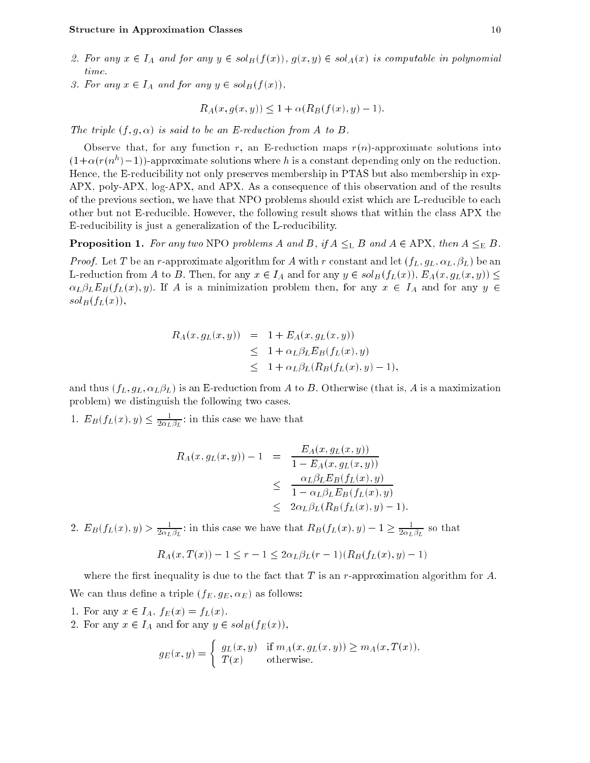- 2. For any  $x \in I_A$  and for any  $y \in sol_B(f(x))$ ,  $g(x, y) \in sol_A(x)$  is computable in polynomial time.
- 3. For any  $x \in I_A$  and for any  $y \in sol_B(f(x)),$

$$
R_A(x, g(x, y)) \le 1 + \alpha(R_B(f(x), y) - 1).
$$

The triple  $(f, q, \alpha)$  is said to be an E-reduction from A to B.

Observe that, for any function r, an E-reduction maps  $r(n)$ -approximate solutions into  $(1+\alpha)(r(n))-1$ ))-approximate solutions where h is a constant depending only on the reduction. Hence, the E-reducibility not only preserves membership in PTAS but also membership in exp-APX, poly-APX, log-APX, and APX. As a consequence of this observation and of the results of the previous section, we have that NPO problems should exist which are L-reducible to each other but not E-reducible. However, the following result shows that within the class APX the E-reducibility is just a generalization of the L-reducibility.

**Proposition 1.** For any two NPO problems A and B, if  $A \leq_L B$  and  $A \in APX$ , then  $A \leq_E B$ .

*Proof.* Let T be an r-approximate algorithm for A with r constant and let  $(f_L, g_L, \alpha_L, \beta_L)$  be an L-reduction from A to B. Then, for any  $x \in I_A$  and for any  $y \in sol_B(f_L(x))$ ,  $E_A(x, g_L(x, y)) \le$  $\alpha_L \beta_L E_B(f_L(x), y)$ . If A is a minimization problem then, for any  $x \in I_A$  and for any  $y \in I_A$  $sol_B(f_L(x)),$ 

$$
R_A(x, g_L(x, y)) = 1 + E_A(x, g_L(x, y))
$$
  
\n
$$
\leq 1 + \alpha_L \beta_L E_B(f_L(x), y)
$$
  
\n
$$
\leq 1 + \alpha_L \beta_L (R_B(f_L(x), y) - 1),
$$

and thus  $(f_L, g_L, \alpha_L, \beta_L)$  is an E-reduction from A to B. Otherwise (that is, A is a maximization problem) we distinguish the following two cases.

1.  $E_B(J_L(x), y) \leq \frac{1}{2\alpha_L \beta_L}$  in this case we have that

$$
R_A(x, g_L(x, y)) - 1 = \frac{E_A(x, g_L(x, y))}{1 - E_A(x, g_L(x, y))}
$$
  
\n
$$
\leq \frac{\alpha_L \beta_L E_B(f_L(x), y)}{1 - \alpha_L \beta_L E_B(f_L(x), y)}
$$
  
\n
$$
\leq 2\alpha_L \beta_L (R_B(f_L(x), y) - 1).
$$

2.  $E_B(f_L(x), y) > \frac{1}{2\alpha_L \beta_L}$ : in this case we have that  $R_B(f_L(x), y) - 1 \ge \frac{1}{2\alpha_L \beta_L}$  so that

$$
R_A(x, T(x)) - 1 \le r - 1 \le 2\alpha_L \beta_L(r - 1)(R_B(f_L(x), y) - 1)
$$

where the first inequality is due to the fact that  $T$  is an r-approximation algorithm for  $A$ . We can thus define a triple  $(f_E, g_E, \alpha_E)$  as follows:

1. For any  $x \in I_A$ ,  $f_E(x) = f_L(x)$ .

2. For any  $x \in I_A$  and for any  $y \in sol_B(f_E(x)),$ 

$$
g_E(x, y) = \begin{cases} g_L(x, y) & \text{if } m_A(x, g_L(x, y)) \ge m_A(x, T(x)), \\ T(x) & \text{otherwise.} \end{cases}
$$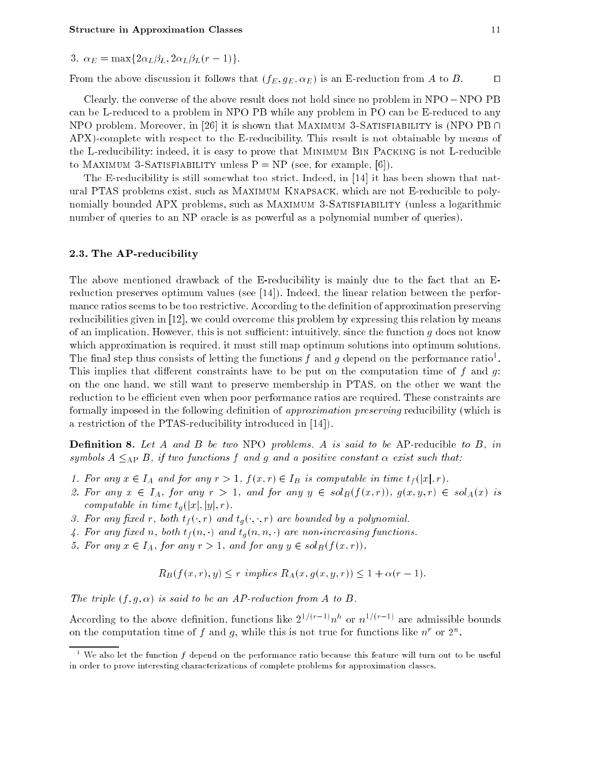3.  $\alpha_E = \max\{2\alpha_L\beta_L, 2\alpha_L\beta_L(r-1)\}.$ 

From the above discussion it follows that  $(f_E, g_E, \alpha_E)$  is an E-reduction from A to B.

Clearly, the converse of the above result does not hold since no problem in  $NPO - NPO$  PB can be L-reduced to a problem in NPO PB while any problem in PO can be E-reduced to any NPO problem. Moreover, in [26] it is shown that MAXIMUM 3-SATISFIABILITY is (NPO PB  $\cap$ APX)-complete with respect to the E-reducibility. This result is not obtainable by means of the L-reducibility: indeed, it is easy to prove that Minimum Bin Packing is not L-reducible to MAXIMUM 3-SATISFIABILITY unless  $P = NP$  (see, for example, [6]).

The E-reducibility is still somewhat too strict. Indeed, in [14] it has been shown that natural PTAS problems exist, such as Maximum Knapsack, which are not E-reducible to polynomially bounded APX problems, such as MAXIMUM 3-SATISFIABILITY (unless a logarithmic number of queries to an NP oracle is as powerful as a polynomial number of queries).

## 2.3. The AP-reducibility

The above mentioned drawback of the E-reducibility is mainly due to the fact that an Ereduction preserves optimum values (see [14]). Indeed, the linear relation between the performance ratios seems to be too restrictive. According to the definition of approximation preserving reducibilities given in [12], we could overcome this problem by expressing this relation by means of an implication. However, this is not sufficient: intuitively, since the function  $g$  does not know which approximation is required, it must still map optimum solutions into optimum solutions. The final step thus consists of letting the functions f and g depend on the performance ratio. This implies that different constraints have to be put on the computation time of f and  $q$ . on the one hand, we still want to preserve membership in PTAS, on the other we want the reduction to be efficient even when poor performance ratios are required. These constraints are formally imposed in the following definition of *approximation preserving* reducibility (which is a restriction of the PTAS-reducibility introduced in [14]).

**Definition 8.** Let A and B be two NPO problems. A is said to be AP-reducible to B, in symbols  $A \leq_{\rm AP} B$ , if two functions f and g and a positive constant  $\alpha$  exist such that:

- 1. For any  $x \in I_A$  and for any  $r > 1$ ,  $f(x, r) \in I_B$  is computable in time  $t_f(|x|, r)$ .
- 2. For any  $x \in I_A$ , for any  $r > 1$ , and for any  $y \in sol_B(f(x,r))$ ,  $g(x,y,r) \in sol_A(x)$  is computable in time  $t_a(|x|, |y|, r)$ .
- 3. For any fixed r, both  $t_f(\cdot, r)$  and  $t_g(\cdot, \cdot, r)$  are bounded by a polynomial.
- 4. For any fixed n, both  $t<sub>f</sub>(n, \cdot)$  and  $t<sub>g</sub>(n, n, \cdot)$  are non-increasing functions.
- 5. For any  $x \in I_A$ , for any  $r > 1$ , and for any  $y \in sol_B(f(x, r))$ ,

$$
R_B(f(x,r),y) \le r \implies R_A(x,g(x,y,r)) \le 1 + \alpha(r-1).
$$

The triple  $(f, g, \alpha)$  is said to be an AP-reduction from A to B.

According to the above definition, functions like  $2^{n}$  (regrams or  $n^{1/2}$  are admissible bounds on the computation time of  $f$  and  $g$ , while this is not true for functions like  $n$  for  $2^n$ .

 $^\circ$  We also let the function  $f$  depend on the performance ratio because this feature will turn out to be useful in order to prove interesting characterizations of complete problems for approximation classes.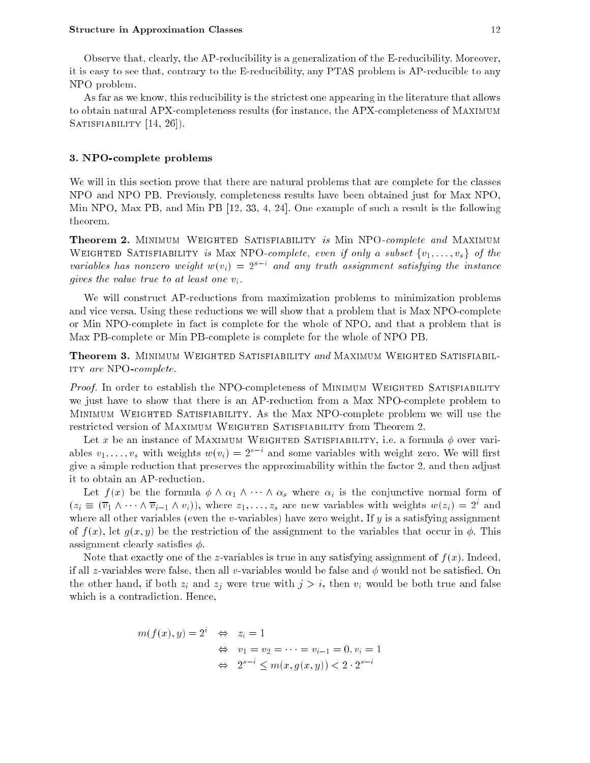As far as we know, this reducibility is the strictest one appearing in the literature that allows to obtain natural APX-completeness results (for instance, the APX-completeness of Maximum SATISFIABILITY [14, 26]).

## 3. NPO-complete problems

We will in this section prove that there are natural problems that are complete for the classes NPO and NPO PB. Previously, completeness results have been obtained just for Max NPO, Min NPO, Max PB, and Min PB [12, 33, 4, 24]. One example of such a result is the following theorem.

**Theorem 2.** MINIMUM WEIGHTED SATISFIABILITY is Min NPO-complete and MAXIMUM WEIGHTED SATISFIABILITY is Max NPO-complete, even if only a subset  $\{v_1, \ldots, v_s\}$  of the variables has nonzero weight  $w(v_i) = z^{\perp}$  and any truth assignment satisfying the instance gives the value true to at least one  $v_i$ .

We will construct AP-reductions from maximization problems to minimization problems and vice versa. Using these reductions we will show that a problem that is Max NPO-complete or Min NPO-complete in fact is complete for the whole of NPO, and that a problem that is Max PB-complete or Min PB-complete is complete for the whole of NPO PB.

**Theorem 3.** MINIMUM WEIGHTED SATISFIABILITY and MAXIMUM WEIGHTED SATISFIABILity are NPO-complete.

Proof. In order to establish the NPO-completeness of MINIMUM WEIGHTED SATISFIABILITY we just have to show that there is an AP-reduction from a Max NPO-complete problem to Minimum Weighted Satisfiability. As the Max NPO-complete problem we will use the restricted version of Maximum Weighted Satisfiability from Theorem 2.

Let x be an instance of MAXIMUM WEIGHTED SATISFIABILITY, i.e. a formula  $\phi$  over variables  $v_1, \ldots, v_s$  with weights  $w(v_i) = z$  — and some variables with weight zero. We will hist give a simple reduction that preserves the approximability within the factor 2, and then adjust it to obtain an AP-reduction.

Let  $f(x)$  be the formula  $\phi \wedge \alpha_1 \wedge \cdots \wedge \alpha_s$  where  $\alpha_i$  is the conjunctive normal form of  $(z_i = (v_1 \wedge \cdots \wedge v_{i-1} \wedge v_i)),$  where  $z_1, \ldots, z_s$  are new variables with weights  $w(z_i) = z^*$  and where all other variables (even the v-variables) have zero weight. If  $y$  is a satisfying assignment of  $f(x)$ , let  $g(x, y)$  be the restriction of the assignment to the variables that occur in  $\phi$ . This assignment clearly satisfies  $\phi$ .

Note that exactly one of the z-variables is true in any satisfying assignment of  $f(x)$ . Indeed, if all z-variables were false, then all v-variables would be false and  $\phi$  would not be satisfied. On the other hand, if both  $z_i$  and  $z_j$  were true with  $j > i$ , then  $v_i$  would be both true and false which is a contradiction. Hence,

$$
m(f(x), y) = 2i \Leftrightarrow zi = 1
$$
  

$$
\Leftrightarrow v_1 = v_2 = \dots = v_{i-1} = 0, v_i = 1
$$
  

$$
\Leftrightarrow 2s-i \le m(x, g(x, y)) < 2 \cdot 2s-i
$$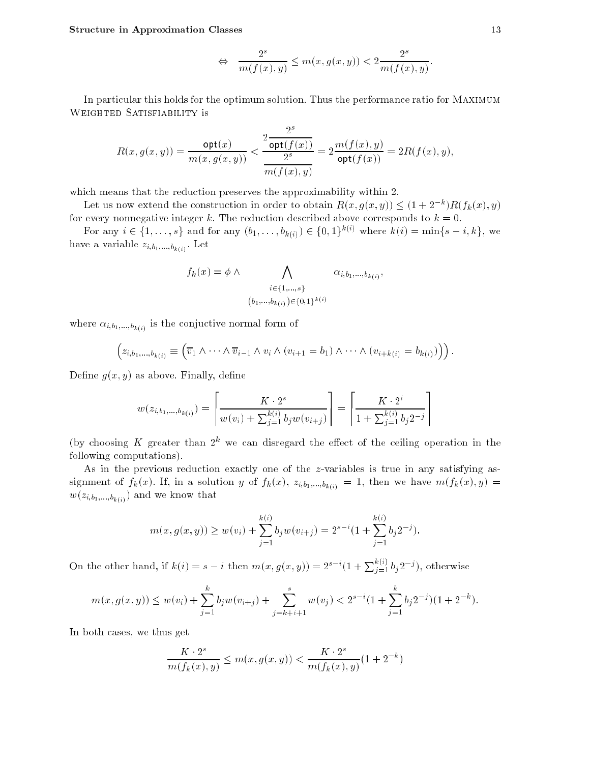$$
\Leftrightarrow \frac{2^s}{m(f(x),y)} \leq m(x,g(x,y)) < 2\frac{2^s}{m(f(x),y)}.
$$

In particular this holds for the optimum solution. Thus the performance ratio for Maximum WEIGHTED SATISFIABILITY is

$$
R(x,g(x,y)) = \frac{\text{opt}(x)}{m(x,g(x,y))} < \frac{2 \frac{2^s}{\text{opt}(f(x))}}{\frac{2^s}{m(f(x),y)}} = 2 \frac{m(f(x),y)}{\text{opt}(f(x))} = 2 R(f(x),y),
$$

which means that the reduction preserves the approximability within 2.

Let us now extend the construction in order to obtain  $\mathbf{A}(x, y(x, y)) \leq (1 + 2\pi) \mathbf{A}(f_k(x), y)$ for every nonnegative integer k. The reduction described above corresponds to  $k = 0$ .

For any  $i \in \{1, ..., s\}$  and for any  $(b_1, ..., b_{k(i)}) \in \{0, 1\}^{k(i)}$  where  $k(i) = \min\{s - i, k\}$ , we  $h_1, h_2, \ldots, h_k(i)$ 

$$
f_k(x) = \phi \land \bigwedge_{\substack{i \in \{1,\dots,s\} \\ (b_1,\dots,b_{k(i)}) \in \{0,1\}^{k(i)}}} \alpha_{i,b_1,\dots,b_{k(i)}},
$$

 $\sum_{i=1}^{n} a_i$ ;  $\sum_{i=1}^{n} b_i$ ; is the conjuctive normal form of

$$
\left(z_{i,b_1,\ldots,b_{k(i)}}\equiv \left(\overline{v}_1\wedge\cdots\wedge\overline{v}_{i-1}\wedge v_i\wedge(v_{i+1}=b_1)\wedge\cdots\wedge(v_{i+k(i)}=b_{k(i)})\right)\right).
$$

Define  $g(x, y)$  as above. Finally, define

$$
w(z_{i,b_1,\dots,b_{k(i)}}) = \left\lceil \frac{K \cdot 2^s}{w(v_i) + \sum_{j=1}^{k(i)} b_j w(v_{i+j})} \right\rceil = \left\lceil \frac{K \cdot 2^i}{1 + \sum_{j=1}^{k(i)} b_j 2^{-j}} \right\rceil
$$

(by choosing K greater than  $2^k$  we can disregard the effect of the ceiling operation in the following computations).

As in the previous reduction exactly one of the z-variables is true in any satisfying assignment of  $f_k(x)$ . If, in a solution y of  $f_k(x)$ ,  $z_{i,b_1,\dots,b_{k(i)}} = 1$ , then we have  $m(f_k(x), y) =$  $\langle \cdots, \delta_1, \ldots, \delta_k(i) \rangle$  and we know that we know that

$$
m(x, g(x, y)) \ge w(v_i) + \sum_{j=1}^{k(i)} b_j w(v_{i+j}) = 2^{s-i} (1 + \sum_{j=1}^{k(i)} b_j 2^{-j}).
$$

On the other hand, if  $k(i) = s - i$  then  $m(x, g(x, y)) = 2^{s-i} (1 + \sum_{i=1}^{n(i)} b_i 2^{-j})$ , otherwise

$$
m(x, g(x, y)) \le w(v_i) + \sum_{j=1}^k b_j w(v_{i+j}) + \sum_{j=k+i+1}^s w(v_j) < 2^{s-i} \left(1 + \sum_{j=1}^k b_j 2^{-j}\right) \left(1 + 2^{-k}\right).
$$

In both cases, we thus get

$$
\frac{K\cdot 2^s}{m(f_k(x),y)}\leq m(x,g(x,y))<\frac{K\cdot 2^s}{m(f_k(x),y)}(1+2^{-k})
$$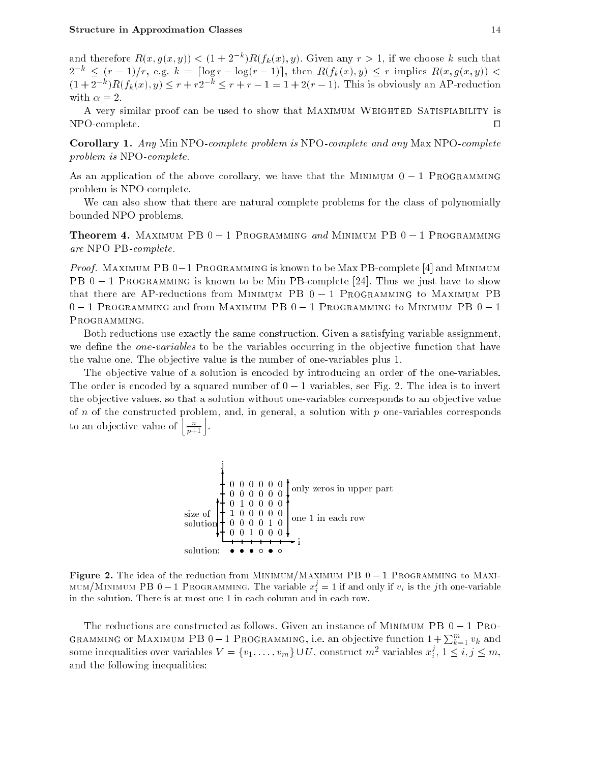and therefore  $R(x, y(x, y)) \leq (1 + 2^{-n})R(f_k(x), y)$ . Given any  $r \geq 1$ , if we choose k such that  $2^{-k} \le (r - 1)/r$ , e.g.  $k = \lceil \log r - \log(r - 1) \rceil$ , then  $R(f_k(x), y) \le r$  implies  $R(x, g(x, y))$  $(1 + 2j)R(f_k(x), y) \leq r + rz \leq r + r - 1 = 1 + 2(r - 1)$ . This is obviously an AP-reduction with  $\alpha = 2$ .

A very similar proof can be used to show that Maximum Weighted Satisfiability is  $NPO-complete.$ 

Corollary 1. Any Min NPO-complete problem is NPO-complete and any Max NPO-complete problem is NPO-complete.

As an application of the above corollary, we have that the MINIMUM  $0 - 1$  PROGRAMMING problem is NPO-complete.

We can also show that there are natural complete problems for the class of polynomially bounded NPO problems.

**Theorem 4.** MAXIMUM PB  $0 - 1$  Programming and Minimum PB  $0 - 1$  Programming are NPO PB-complete.

*Proof.* MAXIMUM PB 0-1 PROGRAMMING is known to be Max PB-complete [4] and MINIMUM PB  $0 - 1$  Programming is known to be Min PB-complete [24]. Thus we just have to show that there are AP-reductions from MINIMUM PB  $0 - 1$  Programming to MAXIMUM PB  $0 - 1$  Programming and from Maximum PB  $0 - 1$  Programming to Minimum PB  $0 - 1$ PROGRAMMING.

Both reductions use exactly the same construction. Given a satisfying variable assignment, we define the *one-variables* to be the variables occurring in the objective function that have the value one. The objective value is the number of one-variables plus 1.

The objective value of a solution is encoded by introducing an order of the one-variables. The order is encoded by a squared number of  $0 - 1$  variables, see Fig. 2. The idea is to invert the objective values, so that a solution without one-variables corresponds to an objective value of  $n$  of the constructed problem, and, in general, a solution with  $p$  one-variables corresponds to an objective value of  $\left\lfloor \frac{n}{p+1} \right\rfloor$ .



**Figure 2.** The idea of the reduction from MINIMUM/MAXIMUM PB  $0-1$  Programming to MAXI-MUM/MINIMUM PB 0–1 Programming. The variable  $x_i^j = 1$  if and only if  $v_i$  is the jth one-variable in the solution. There is at most one 1 in each column and in each row.

The reductions are constructed as follows. Given an instance of MINIMUM PB  $0 - 1$  Programming or Maximum PB 0–1 Programming, i.e. an objective function  $1+\sum_{k=1}^m v_k$  and some inequalities over variables  $V = \{v_1, \ldots, v_m\} \cup U$ , construct  $m^2$  variables  $x_i^*, 1 \leq i, j \leq m$ , and the following inequalities: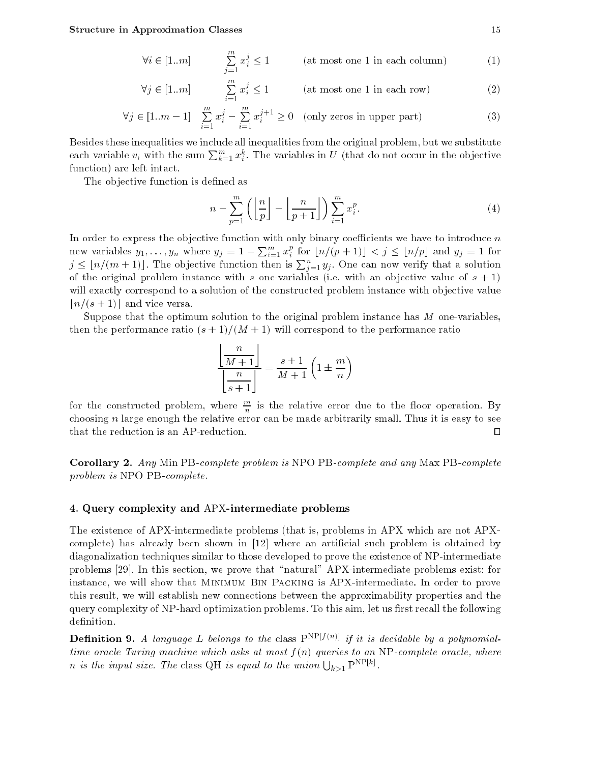$$
\forall i \in [1..m] \qquad \sum_{j=1}^{m} x_i^j \le 1 \qquad \text{(at most one 1 in each column)} \tag{1}
$$

$$
\forall j \in [1..m] \qquad \sum_{i=1}^{m} x_i^j \le 1 \qquad \text{(at most one 1 in each row)} \tag{2}
$$

$$
\forall j \in [1..m-1] \quad \sum_{i=1}^{m} x_i^j - \sum_{i=1}^{m} x_i^{j+1} \ge 0 \quad \text{(only zeros in upper part)} \tag{3}
$$

Besides these inequalities we include all inequalities from the original problem, but we substitute each variable  $v_i$  with the sum  $\sum_{k=1}^m x_i^k$ . The variables in U (that do not occur in the objective function) are left intact.

The objective function is defined as

$$
n - \sum_{p=1}^{m} \left( \left\lfloor \frac{n}{p} \right\rfloor - \left\lfloor \frac{n}{p+1} \right\rfloor \right) \sum_{i=1}^{m} x_i^p. \tag{4}
$$

In order to express the objective function with only binary coefficients we have to introduce  $n$ new variables  $y_1,\ldots,y_n$  where  $y_j=1-\sum_{i=1}^mx_i^p$  for  $\lfloor n/(p+1)\rfloor < j \leq \lfloor n/p\rfloor$  and  $y_j=1$  for  $j \leq \lfloor n/(m + 1) \rfloor$ . The objective function then is  $\sum_{i=1}^{n} y_i$ . One can now verify that a solution of the original problem instance with s one-variables (i.e. with an objective value of  $s + 1$ ) will exactly correspond to a solution of the constructed problem instance with objective value  $n/(s + 1)$  and vice versa.

Suppose that the optimum solution to the original problem instance has  $M$  one-variables, then the performance ratio  $(s + 1)/(M + 1)$  will correspond to the performance ratio

$$
\frac{\left\lfloor \frac{n}{M+1} \right\rfloor}{\left\lfloor \frac{n}{s+1} \right\rfloor} = \frac{s+1}{M+1} \left( 1 \pm \frac{m}{n} \right)
$$

for the constructed problem, where  $\frac{m}{n}$  is the relative error due to the floor operation. By choosing  $n$  large enough the relative error can be made arbitrarily small. Thus it is easy to see that the reduction is an AP-reduction.  $\Box$ 

Corollary 2. Any Min PB-complete problem is NPO PB-complete and any Max PB-complete problem is NPO PB-complete.

### 4. Query complexity and APX-intermediate problems

The existence of APX-intermediate problems (that is, problems in APX which are not APXcomplete) has already been shown in [12] where an articial such problem is obtained by diagonalization techniques similar to those developed to prove the existence of NP-intermediate problems [29]. In this section, we prove that "natural" APX-intermediate problems exist: for instance, we will show that Minimum Bin Packing is APX-intermediate. In order to prove this result, we will establish new connections between the approximability properties and the query complexity of NP-hard optimization problems. To this aim, let us first recall the following definition.

**Definition 9.** A language L belongs to the class  $P^{NP[f(n)]}$  if it is decidable by a polynomialtime oracle Turing machine which asks at most  $f(n)$  queries to an NP-complete oracle, where *n* is the input size. The class QH is equal to the union  $\bigcup_{k>1} P^{NP[k]}$ .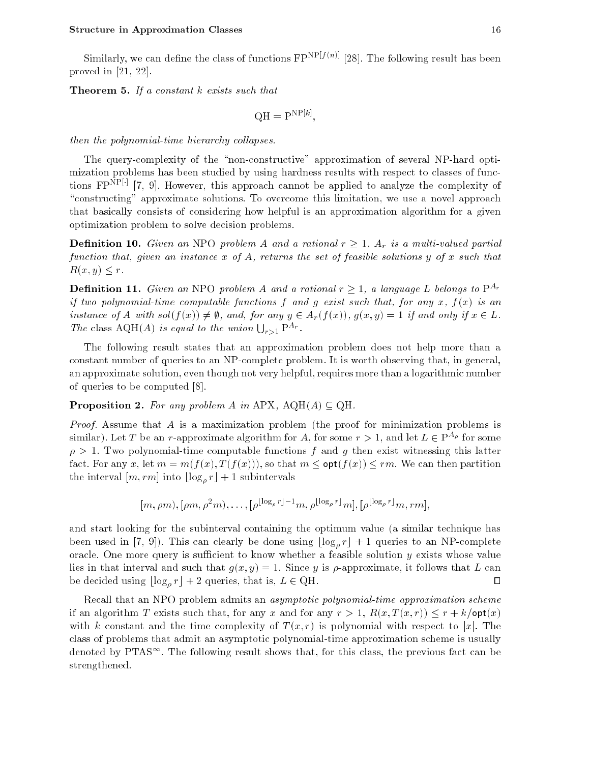Similarly, we can define the class of functions  $\mathbb{FP}^{\text{NP}[f(n)]}$  [28]. The following result has been proved in [21, 22].

**Theorem 5.** If a constant  $k$  exists such that

$$
QH = P^{NP[k]},
$$

then the polynomial-time hierarchy collapses.

The query-complexity of the "non-constructive" approximation of several NP-hard optimization problems has been studied by using hardness results with respect to classes of functions  $\mathbf{r}_1$ .  $\mathbf{r}_2$  and  $\mathbf{r}_3$  are approach cannot be applied to analyze the complexity of "constructing" approximate solutions. To overcome this limitation, we use a novel approach that basically consists of considering how helpful is an approximation algorithm for a given optimization problem to solve decision problems.

**Definition 10.** Given an NPO problem A and a rational  $r \geq 1$ ,  $A_r$  is a multi-valued partial function that, given an instance  $x$  of  $A$ , returns the set of feasible solutions  $y$  of  $x$  such that  $R(x, y) \leq r$ .

**Definition 11.** Given an NPO problem A and a rational  $r \geq 1$ , a language L belongs to  $P^{A_r}$ if two polynomial-time computable functions f and q exist such that, for any x,  $f(x)$  is an instance of A with  $sol(f(x)) \neq \emptyset$ , and, for any  $y \in A_r(f(x))$ ,  $g(x, y) = 1$  if and only if  $x \in L$ . The class AQH(A) is equal to the union  $\bigcup_{r>1} P^{A_r}$ .

The following result states that an approximation problem does not help more than a constant number of queries to an NP-complete problem. It is worth observing that, in general, an approximate solution, even though not very helpful, requires more than a logarithmic number of queries to be computed [8].

## **Proposition 2.** For any problem A in APX,  $AQH(A) \subseteq QH$ .

Proof. Assume that A is a maximization problem (the proof for minimization problems is similar). Let T be an r-approximate algorithm for A, for some  $r > 1$ , and let  $L \in P^{\alpha \rho}$  for some  $\rho > 1$ . Two polynomial-time computable functions f and g then exist witnessing this latter fact. For any x, let  $m = m(f(x), T(f(x)))$ , so that  $m \leq \text{opt}(f(x)) \leq rm$ . We can then partition the interval  $[m, rm]$  into  $\lfloor \log_a r \rfloor + 1$  subintervals

$$
[m, \rho m), [\rho m, \rho^2 m), \ldots, [\rho^{\lfloor \log_\rho r \rfloor - 1} m, \rho^{\lfloor \log_\rho r \rfloor} m], [\rho^{\lfloor \log_\rho r \rfloor} m, r m]
$$

and start looking for the subinterval containing the optimum value (a similar technique has been used in [7, 9]). This can clearly be done using  $\lfloor \log_a r \rfloor + 1$  queries to an NP-complete oracle. One more query is sufficient to know whether a feasible solution  $y$  exists whose value lies in that interval and such that  $g(x, y) = 1$ . Since y is  $\rho$ -approximate, it follows that L can be decided using  $\lfloor \log_\rho r \rfloor + 2$  queries, that is,  $L \in \text{QH}$ .  $\Box$ 

Recall that an NPO problem admits an *asymptotic polynomial-time approximation scheme* if an algorithm T exists such that, for any x and for any  $r > 1$ ,  $R(x, T(x, r)) \leq r + k/\mathsf{opt}(x)$ with k constant and the time complexity of  $T(x, r)$  is polynomial with respect to |x|. The class of problems that admit an asymptotic polynomial-time approximation scheme is usually denoted by PTAS $\infty$ . The following result shows that, for this class, the previous fact can be strengthened.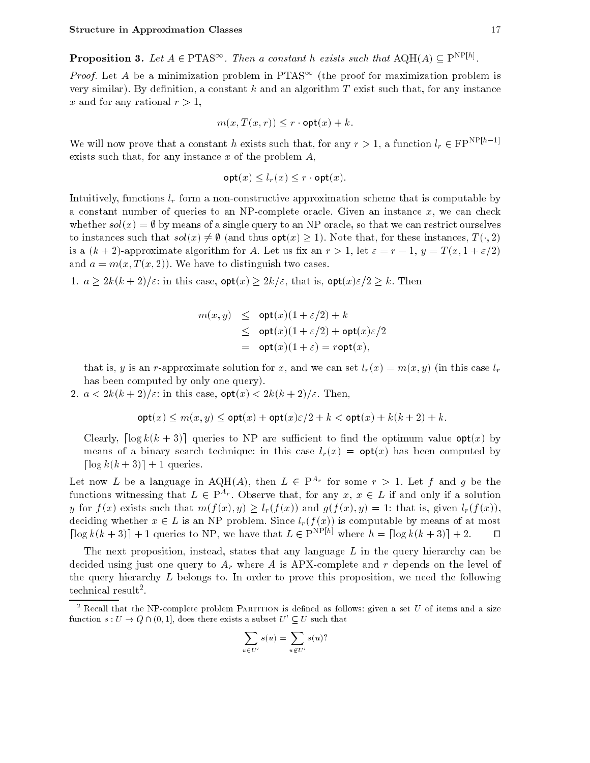**Proposition 3.** Let  $A \in P$  **TAS**<sup>12</sup>. Then a constant h exists such that  $A \cup A \cup A$   $\subseteq P$ <sup>22</sup>.

*Proof.* Let  $A$  be a minimization problem in PTAS – (the proof for maximization problem is very similar). By definition, a constant  $k$  and an algorithm  $T$  exist such that, for any instance x and for any rational  $r > 1$ ,

$$
m(x,T(x,r))\leq r\cdot \mathsf{opt}(x)+k.
$$

We will now prove that a constant h exists such that, for any  $r > 1$ , a function  $l_r \in FP^{NP[h-1]}$ exists such that, for any instance  $x$  of the problem  $A$ ,

$$
\mathsf{opt}(x) \le l_r(x) \le r \cdot \mathsf{opt}(x).
$$

Intuitively, functions  $l_r$  form a non-constructive approximation scheme that is computable by a constant number of queries to an NP-complete oracle. Given an instance  $x$ , we can check whether  $sol(x) = \emptyset$  by means of a single query to an NP oracle, so that we can restrict ourselves to instances such that  $sol(x) \neq \emptyset$  (and thus  $opt(x) \geq 1$ ). Note that, for these instances,  $T(\cdot, 2)$ is a  $(k+2)$ -approximate algorithm for A. Let us fix an  $r > 1$ , let  $\varepsilon = r - 1$ ,  $y = T(x, 1 + \varepsilon/2)$ and  $a = m(x, T(x, 2))$ . We have to distinguish two cases.

1.  $a \geq 2k(k+2)/\varepsilon$ : in this case,  $\mathsf{opt}(x) \geq 2k/\varepsilon$ , that is,  $\mathsf{opt}(x)\varepsilon/2 \geq k$ . Then

$$
m(x, y) \leq \mathsf{opt}(x)(1 + \varepsilon/2) + k
$$
  
\n
$$
\leq \mathsf{opt}(x)(1 + \varepsilon/2) + \mathsf{opt}(x)\varepsilon/2
$$
  
\n
$$
= \mathsf{opt}(x)(1 + \varepsilon) = r \mathsf{opt}(x),
$$

that is, y is an r-approximate solution for x, and we can set  $l_r(x) = m(x, y)$  (in this case  $l_r$ has been computed by only one query).

2.  $a < 2k(k+2)/\varepsilon$ : in this case,  $\mathsf{opt}(x) < 2k(k+2)/\varepsilon$ . Then,

$$
\mathsf{opt}(x) \le m(x, y) \le \mathsf{opt}(x) + \mathsf{opt}(x)\varepsilon/2 + k < \mathsf{opt}(x) + k(k+2) + k.
$$

Clearly,  $\lceil \log k(k+3) \rceil$  queries to NP are sufficient to find the optimum value opt(x) by means of a binary search technique: in this case  $l_r(x) = \mathsf{opt}(x)$  has been computed by  $\lceil \log k(k + 3) \rceil + 1$  queries.

Let now L be a language in AQH(A), then  $L \in \mathbb{P}^{n_T}$  for some  $r > 1$ . Let f and g be the functions witnessing that  $L \in P^{\alpha r}$ . Observe that, for any  $x, x \in L$  if and only if a solution y for  $f(x)$  exists such that  $m(f(x), y) \ge l_r(f(x))$  and  $g(f(x), y) = 1$ : that is, given  $l_r(f(x))$ , deciding whether  $x \in L$  is an NP problem. Since  $l_r(f(x))$  is computable by means of at most  $\lceil \log k(k+3) \rceil + 1$  queries to NP, we have that  $L \in \mathbb{P}^{\text{NP}[h]}$  where  $h = \lceil \log k(k+3) \rceil + 2.$ 

The next proposition, instead, states that any language  $L$  in the query hierarchy can be decided using just one query to  $A_r$  where A is APX-complete and r depends on the level of the query hierarchy  $L$  belongs to. In order to prove this proposition, we need the following tecnmical result=.

$$
\sum_{u \in U'} s(u) = \sum_{u \notin U'} s(u)?
$$

 $^\circ$  Kecall that the NP-complete problem PARITION is defined as follows: given a set  $U$  of items and a size function  $s: U \to Q \sqcup \{0, 1\}$ , does there exists a subset  $U \subset U$  such that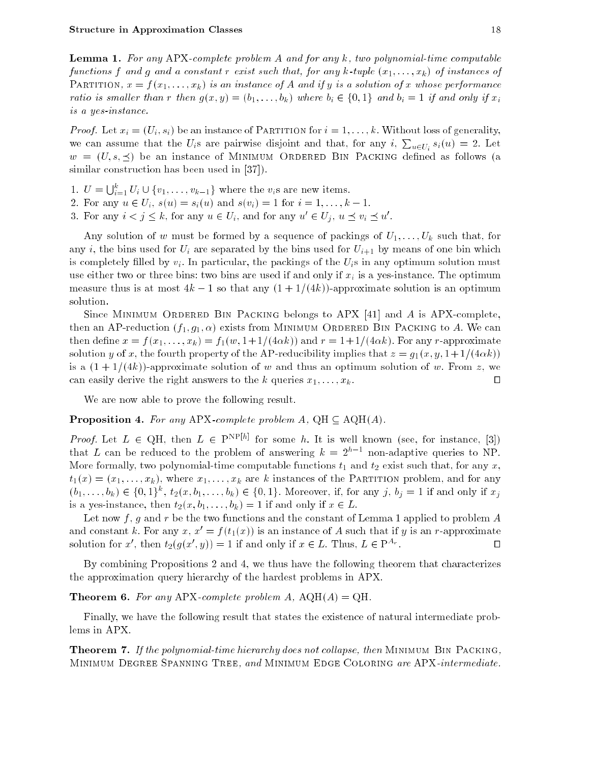**Lemma 1.** For any APX-complete problem A and for any  $k$ , two polynomial-time computable functions f and g and a constant r exist such that, for any k-tuple  $(x_1, \ldots, x_k)$  of instances of PARTITION,  $x = f(x_1, \ldots, x_k)$  is an instance of A and if y is a solution of x whose performance ratio is smaller than r then  $g(x, y) = (b_1, \ldots, b_k)$  where  $b_i \in \{0, 1\}$  and  $b_i = 1$  if and only if  $x_i$ is a yes-instance.

*Proof.* Let  $x_i = (U_i, s_i)$  be an instance of PARTITION for  $i = 1, \ldots, k$ . Without loss of generality, we can assume that the  $U_i$ s are pairwise disjoint and that, for any  $i$ ,  $\sum_{u \in U_i} s_i(u) = 2$ . Let  $w = (U, s, \preceq)$  be an instance of MINIMUM ORDERED BIN PACKING defined as follows (a similar construction has been used in [37].

- 1.  $U = \bigcup_{i=1}^k U_i \cup \{v_1, \ldots, v_{k-1}\}\$  where the  $v_i$ s are new items.
- 2. For any  $u \in U_i$ ,  $s(u) = s_i(u)$  and  $s(v_i) = 1$  for  $i = 1, ..., k 1$ .
- 3. For any  $i \leq j \leq k$ , for any  $u \in U_i$ , and for any  $u \in U_j$ ,  $u \supset v_i \supset u$ .

Any solution of w must be formed by a sequence of packings of  $U_1, \ldots, U_k$  such that, for any i, the bins used for  $U_i$  are separated by the bins used for  $U_{i+1}$  by means of one bin which is completely filled by  $v_i$ . In particular, the packings of the  $U_i$ s in any optimum solution must use either two or three bins: two bins are used if and only if  $x_i$  is a yes-instance. The optimum measure thus is at most  $4k - 1$  so that any  $(1 + 1/(4k))$ -approximate solution is an optimum solution.

Since Minimum Ordered Bin Packing belongs to APX [41] and A is APX-complete, then an AP-reduction  $(f_1, g_1, \alpha)$  exists from MINIMUM ORDERED BIN PACKING to A. We can then define  $x = f(x_1, \ldots, x_k) = f_1(w, 1+1/(4\alpha k))$  and  $r = 1+1/(4\alpha k)$ . For any r-approximate solution y of x, the fourth property of the AP-reducibility implies that  $z = g_1(x, y, 1+1/(4\alpha k))$ is a  $(1+1/(4k))$ -approximate solution of w and thus an optimum solution of w. From z, we can easily derive the right answers to the k queries  $x_1, \ldots, x_k$ .  $\Box$ 

We are now able to prove the following result.

**Proposition 4.** For any APX-complete problem  $A$ ,  $QH \subseteq AQH(A)$ .

*Froof.* Let  $L \in \mathbb{Q}$ n, then  $L \in \mathbb{R}^{n \times n}$  for some h. It is well known (see, for instance, [3]) that L can be reduced to the problem of answering  $\kappa = 2\gamma$  + non-adaptive queries to NP. More formally, two polynomial-time computable functions  $t_1$  and  $t_2$  exist such that, for any x,  $t_1(x) = (x_1, \ldots, x_k)$ , where  $x_1, \ldots, x_k$  are k instances of the PARTITION problem, and for any  $(v_1,\ldots,v_k)\in \{0,1\}$ ,  $v_2(x,v_1,\ldots,v_k)\in \{0,1\}$ . Moreover, it, for any  $j, v_j=1$  if and only if  $x_j$ is a yes-instance, then  $t_2(x, b_1, \ldots, b_k) = 1$  if and only if  $x \in L$ .

Let now f, q and r be the two functions and the constant of Lemma 1 applied to problem  $A$ and constant k. For any x,  $x' = f(t_1(x))$  is an instance of A such that if y is an r-approximate  $\Box$ solution for x', then  $t_2(g(x', y)) = 1$  if and only if  $x \in L$ . Thus,  $L \in P^{\alpha r}$ 

By combining Propositions 2 and 4, we thus have the following theorem that characterizes the approximation query hierarchy of the hardest problems in APX.

**Theorem 6.** For any APX-complete problem A,  $AQH(A) = QH$ .

Finally, we have the following result that states the existence of natural intermediate problems in APX.

**Theorem 7.** If the polynomial-time hierarchy does not collapse, then MINIMUM BIN PACKING, MINIMUM DEGREE SPANNING TREE, and MINIMUM EDGE COLORING are APX-intermediate.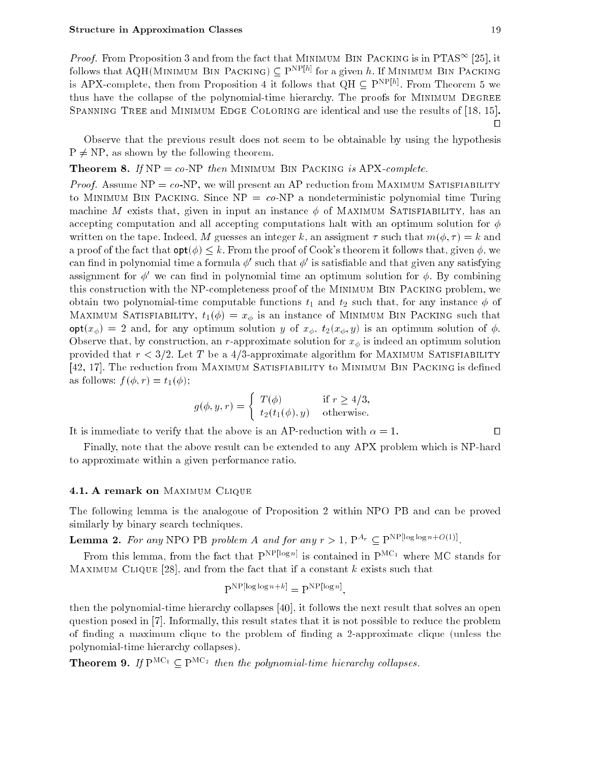*Proof.* From Proposition 5 and from the fact that Minimum Bin PACKING is in PTAS<sup>--</sup> [25], it follows that  $A\cup B$  in this mum bin Packing  $\cup$  PNP  $\vdots$  for a given  $h$ . If Minimum Bin Packing is APA-complete, then from Proposition 4 it follows that QH  $\subseteq$  PNP  $\vdash$  Profil Theorem 5 we thus have the collapse of the polynomial-time hierarchy. The proofs for MINIMUM DEGREE SPANNING TREE and MINIMUM EDGE COLORING are identical and use the results of [18, 15].  $\Box$ 

Observe that the previous result does not seem to be obtainable by using the hypothesis  $P \neq NP$ , as shown by the following theorem.

**Theorem 8.** If  $NP = co-NP$  then MINIMUM BIN PACKING is APX-complete.

*Proof.* Assume  $NP = co-NP$ , we will present an AP reduction from MAXIMUM SATISFIABILITY to MINIMUM BIN PACKING. Since  $NP = co-NP$  a nondeterministic polynomial time Turing machine M exists that, given in input an instance  $\phi$  of MAXIMUM SATISFIABILITY, has an accepting computation and all accepting computations halt with an optimum solution for  $\phi$ written on the tape. Indeed, M guesses an integer k, an assigment  $\tau$  such that  $m(\phi, \tau) = k$  and a proof of the fact that  $\text{opt}(\phi) \leq k$ . From the proof of Cook's theorem it follows that, given  $\phi$ , we can iniu in polynomial time a formula  $\varphi$  -such that  $\varphi$  -is satisfiable and that given any satisfying assignment for  $\phi'$  we can find in polynomial time an optimum solution for  $\phi$ . By combining this construction with the NP-completeness proof of the Minimum Bin Packing problem, we obtain two polynomial-time computable functions  $t_1$  and  $t_2$  such that, for any instance  $\phi$  of MAXIMUM SATISFIABILITY,  $t_1(\phi) = x_\phi$  is an instance of MINIMUM BIN PACKING such that  $\text{opt}(x_{\phi}) = 2$  and, for any optimum solution y of  $x_{\phi}$ ,  $t_2(x_{\phi}, y)$  is an optimum solution of  $\phi$ . Observe that, by construction, an r-approximate solution for  $x_{\phi}$  is indeed an optimum solution provided that  $r < 3/2$ . Let T be a 4/3-approximate algorithm for MAXIMUM SATISFIABILITY [42, 17]. The reduction from MAXIMUM SATISFIABILITY to MINIMUM BIN PACKING is defined as follows:  $f(\phi, r) = t_1(\phi)$ ;

$$
g(\phi, y, r) = \begin{cases} T(\phi) & \text{if } r \ge 4/3, \\ t_2(t_1(\phi), y) & \text{otherwise.} \end{cases}
$$

It is immediate to verify that the above is an AP-reduction with  $\alpha = 1$ .

Finally, note that the above result can be extended to any APX problem which is NP-hard to approximate within a given performance ratio.

#### 4.1. A remark on MAXIMUM CLIQUE

The following lemma is the analogoue of Proposition 2 within NPO PB and can be proved similarly by binary search techniques.

**Lemma 2.** For any NPO PB problem A and for any  $r > 1$ ,  $P^{Ar} \subseteq P^{Ar}$  [log log n+O(1)].

From this lemma, from the fact that PNP[log n] is contained in PMC1 where MC stands for MAXIMUM CLIQUE [28], and from the fact that if a constant k exists such that

$$
P^{NP[log log n+k]} = P^{NP[log n]}
$$

;

then the polynomial-time hierarchy collapses [40], it follows the next result that solves an open question posed in [7]. Informally, this result states that it is not possible to reduce the problem of nding a maximum clique to the problem of nding a 2-approximate clique (unless the polynomial-time hierarchy collapses).

**Theorem 9.** If  $\Gamma$   $\Gamma$   $\Gamma$   $\Gamma$   $\Gamma$  are measured the polynomial-time metatricity collapses.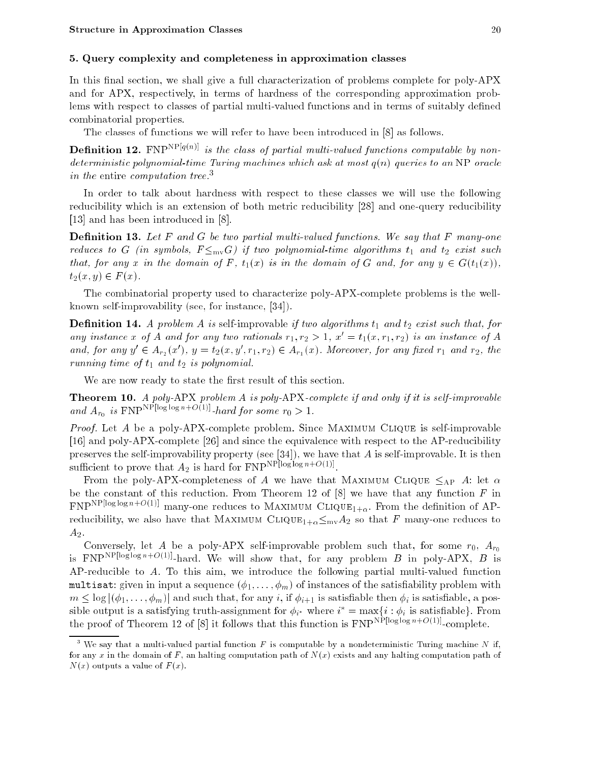## 5. Query complexity and completeness in approximation classes

In this final section, we shall give a full characterization of problems complete for poly-APX and for APX, respectively, in terms of hardness of the corresponding approximation problems with respect to classes of partial multi-valued functions and in terms of suitably defined combinatorial properties.

The classes of functions we will refer to have been introduced in [8] as follows.

**Definition 12.** FNP<sup>NP[q(n)]</sup> is the class of partial multi-valued functions computable by nondeterministic polynomial-time Turing machines which ask at most  $q(n)$  queries to an NP oracle in the entire computation tree.<sup>3</sup>

In order to talk about hardness with respect to these classes we will use the following reducibility which is an extension of both metric reducibility [28] and one-query reducibility [13] and has been introduced in [8].

**Definition 13.** Let F and G be two partial multi-valued functions. We say that F many-one reduces to G (in symbols,  $F \leq_{mv} G$ ) if two polynomial-time algorithms  $t_1$  and  $t_2$  exist such that, for any x in the domain of F,  $t_1(x)$  is in the domain of G and, for any  $y \in G(t_1(x))$ ,  $t_2(x, y) \in F(x)$ .

The combinatorial property used to characterize poly-APX-complete problems is the wellknown self-improvability (see, for instance, [34]).

**Definition 14.** A problem A is self-improvable if two algorithms  $t_1$  and  $t_2$  exist such that, for any instance x of A and for any two rationals  $r_1, r_2 > 1$ ,  $x' = t_1(x, r_1, r_2)$  is an instance of A and, for any  $y \in A_{r_2}(x)$  ,  $y = \iota_2(x, y, r_1, r_2) \in A_{r_1}(x)$ . Moreover, for any fixed  $r_1$  and  $r_2$ , the running time of  $t_1$  and  $t_2$  is polynomial.

We are now ready to state the first result of this section.

Theorem 10. A poly-APX problem A is poly-APX-complete if and only if it is self-improvable and  $A_{r_0}$  is FNP is some role in our some round for some round in  $A_{r_0}$  is  $\frac{a}{1}$ .

Proof. Let A be a poly-APX-complete problem. Since MAXIMUM CLIQUE is self-improvable [16] and poly-APX-complete [26] and since the equivalence with respect to the AP-reducibility preserves the self-improvability property (see [34]), we have that  $A$  is self-improvable. It is then sumertion to prove that  $A_2$  is hard for  $\text{FNF}$  is  $\text{FSS}$  . Only if

From the poly-APX-completeness of A we have that MAXIMUM CLIQUE  $\leq_{AP}$  A: let  $\alpha$ be the constant of this reduction. From Theorem 12 of  $[8]$  we have that any function  $F$  in  $FNP^{NP[log\log n+O(1)]}$  many-one reduces to MAXIMUM CLIQUE<sub>1+ $\alpha$ </sub>. From the definition of APreducibility, we also have that MAXIMUM CLIQUE<sub>1+ $\alpha$ </sub> $\leq_{mv}A_2$  so that F many-one reduces to  $A_2$ .

Conversely, let A be a poly-APX self-improvable problem such that, for some  $r_0$ ,  $A_{r_0}$ is FNP<sup>NP[log1ogn+O(1)]</sup>-hard. We will show that, for any problem B in poly-APX, B is AP-reducible to A. To this aim, we introduce the following partial multi-valued function multisat: given in input a sequence  $(\phi_1, \ldots, \phi_m)$  of instances of the satisfiability problem with  $m \leq \log |(\phi_1, \ldots, \phi_m)|$  and such that, for any i, if  $\phi_{i+1}$  is satisfiable then  $\phi_i$  is satisfiable, a possible output is a satisfying truth-assignment for  $\varphi_{i^*}$  where  $i^* = \max\{i : \varphi_i$  is satisfiable  $\}$ . From the proof of Theorem 12 of [8] it follows that this function is  $\text{FNP}^{\text{NP}[\log \log n + O(1)]}\text{-complete.}$ 

 $^\circ$  We say that a multi-valued partial function F is computable by a nondeterministic Turing machine IV if, for any x in the domain of F, an halting computation path of  $N(x)$  exists and any halting computation path of  $N(x)$  outputs a value of  $F(x)$ .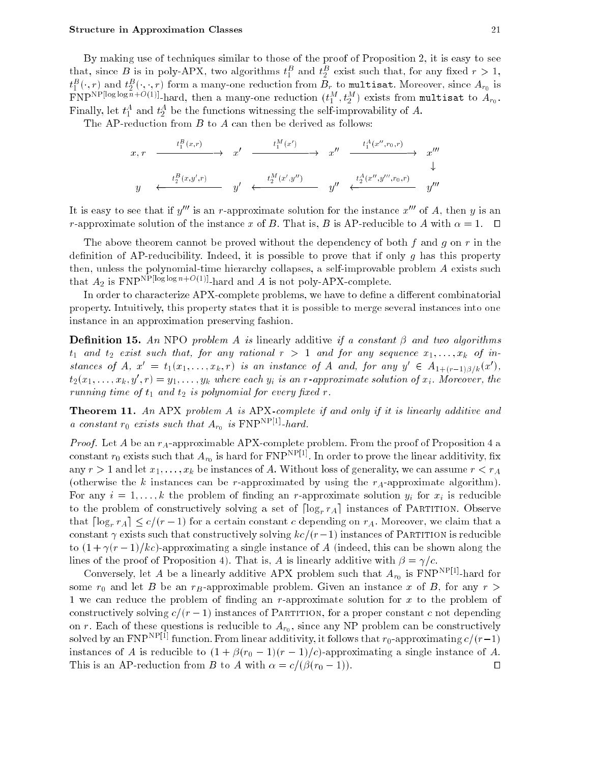By making use of techniques similar to those of the proof of Proposition 2, it is easy to see that, since **D** is in poly-APA, two algorithms  $t_1$  and  $t_2$  exist such that, for any fixed  $r > 1$ ,  $\iota_1$  ( ,  $r$  ) and  $\iota_2$  ( , ,  $r$  ) form a many-one reduction from  $D_r$  to multisat. Moreover, since  $A_{r_0}$  is  $2$  ( )  $\cdot$  ) for the reduction from Br to multipate  $\sim$  reduction from Br to around  $\sim$   $\sim$   $\sim$   $\sim$   $\sim$ FIVE FOUR LOG CONTROL REGISTER THAT  $(t_1^-, t_2^-)$  exists from multisat to  $A_{r_0}$ .  $r$  many, let  $t_1$  and  $t_2$  be the functions witnessing the sen-improvability of  $A$ .

The AP-reduction from  $B$  to  $A$  can then be derived as follows:

$$
\begin{array}{ccccccc} x,r & \xrightarrow{\quad & t_{1}^{B}(x,r) & \longrightarrow & x' & \xrightarrow{\quad & t_{1}^{M}(x')} & \longrightarrow & x'' & \xrightarrow{\quad & t_{1}^{A}(x'',r_{0},r) \longrightarrow & x''' & \longrightarrow & x''' \longrightarrow & & \downarrow & & & \downarrow & & & \downarrow & & & \downarrow & & & \downarrow & & & \downarrow & & & \downarrow & & & \downarrow & & & \downarrow & & & \downarrow & & & & \downarrow & & & & \downarrow & & & & & \downarrow & & & & & \downarrow & & & & & \downarrow & & & & & & \downarrow & & & & & & \downarrow & & & & & & \downarrow & & & & & & \downarrow & & & & & \downarrow & & & & & \downarrow & & & & & \downarrow & & & & & \downarrow & & & & & \downarrow & & & & & \downarrow & & & & & \downarrow & & & & & \downarrow & & & & & \downarrow & & & & & \downarrow & & & & & \downarrow & & & & \downarrow & & & & \downarrow & & & & \downarrow & & & & \downarrow & & & & \downarrow & & & & \downarrow & & & & \downarrow & & & & \downarrow & & & & \downarrow & & & & \downarrow & & & & \downarrow & & & & \downarrow & & & & \downarrow & & & & \downarrow & & & & \downarrow & & & & \downarrow & & & & \downarrow & & & & \downarrow & & & & \downarrow & & & & \downarrow & & & & \downarrow & & & & \downarrow & & & & \downarrow & & & & \downarrow & & & & \downarrow & & & & \downarrow & & & & \downarrow & & & & \downarrow & & & & \downarrow & & & & \downarrow & & & & \downarrow & & & & \downarrow & & & & \downarrow & & & & \downarrow & & & & \downarrow & & & & \downarrow & & & & \downarrow & & & & \downarrow & & & & \downarrow & & & & \downarrow & & & & \downarrow & & & & \downarrow & & & & \downarrow & & & & \downarrow & & & & \downarrow & & & & \downarrow & & & & \downarrow & & & & \downarrow & & & & \downarrow & & & & \downarrow & & & & \downarrow & & & & \downarrow & & & & \downarrow & & & & \downarrow & & & & \downarrow & & & & \downarrow & & & & \downarrow & & & & \downarrow & & & & \downarrow & & & & \downarrow & & & & \downarrow & & & & \downarrow & & & & \downarrow & & & & \downarrow &
$$

It is easy to see that if  $y'''$  is an r-approximate solution for the instance  $x'''$  of A, then y is an r-approximate solution of the instance x of B. That is, B is AP-reducible to A with  $\alpha = 1$ .  $\Box$ 

The above theorem cannot be proved without the dependency of both f and g on r in the definition of AP-reducibility. Indeed, it is possible to prove that if only q has this property then, unless the polynomial-time hierarchy collapses, a self-improvable problem A exists such that  $A_2$  is FNP<sup>NP[loglogn+O(1)]</sup>-hard and A is not poly-APX-complete.

In order to characterize APX-complete problems, we have to define a different combinatorial property. Intuitively, this property states that it is possible to merge several instances into one instance in an approximation preserving fashion.

**Definition 15.** An NPO problem A is linearly additive if a constant  $\beta$  and two algorithms  $t_1$  and  $t_2$  exist such that, for any rational  $r > 1$  and for any sequence  $x_1, \ldots, x_k$  of instances of  $A, x = t_1(x_1, \ldots, x_k, r)$  is an instance of A and, for any  $y \in A_{1+(r-1)\beta/k}(x)$ ,  $t_2(x_1,\ldots,x_k,y\ ,r)=y_1,\ldots,y_k$  where each  $y_i$  is an r-approximate solution of  $x_i$ . Moreover, the running time of  $t_1$  and  $t_2$  is polynomial for every fixed r.

Theorem 11. An APX problem A is APX-complete if and only if it is linearly additive and a constant  $r_0$  exists such that  $A_{r_0}$  is  $\Gamma N$ PIP  $\Gamma$ -hard.

*Proof.* Let  $A$  be an  $r_A$ -approximable APX-complete problem. From the proof of Proposition 4 a constant  $r_0$  exists such that  $A_{r_0}$  is hard for FNP $^{\ldots}$  . In order to prove the linear additivity, fix any  $r > 1$  and let  $x_1, \ldots, x_k$  be instances of A. Without loss of generality, we can assume  $r < r_A$ (otherwise the k instances can be r-approximated by using the  $r_A$ -approximate algorithm). For any  $i = 1, \ldots, k$  the problem of finding an r-approximate solution  $y_i$  for  $x_i$  is reducible to the problem of constructively solving a set of  $\lceil \log_r r_A \rceil$  instances of PARTITION. Observe that  $\lceil \log_r r_A \rceil \leq c/(r-1)$  for a certain constant c depending on  $r_A$ . Moreover, we claim that a constant  $\gamma$  exists such that constructively solving  $kc/(r-1)$  instances of PARTITION is reducible to  $(1 + \gamma(r-1)/kc)$ -approximating a single instance of A (indeed, this can be shown along the lines of the proof of Proposition 4). That is, A is linearly additive with  $\beta = \gamma/c$ .

Conversely, let A be a linearly additive APA problem such that  $A_{r_0}$  is FNP  $\rightarrow$  -hard for some  $r_0$  and let B be an  $r_B$ -approximable problem. Given an instance x of B, for any  $r >$ 1 we can reduce the problem of finding an r-approximate solution for x to the problem of constructively solving  $c/(r - 1)$  instances of PARTITION, for a proper constant c not depending on r. Each of these questions is reducible to  $\mathbf{F}$ on r. Each of these questions is reducible to  $A_{r_0}$ , since any NP problem can be constructively solved by an FNP $^{\gamma_1}$  function. From linear additivity, it follows that  $r_0$ -approximating  $c/(r-1)$ instances of A is reducible to  $(1 + \beta(r_0 - 1)(r - 1)/c)$ -approximating a single instance of A. This is an AP-reduction from B to A with  $\alpha = c/(\beta(r_0 - 1))$ .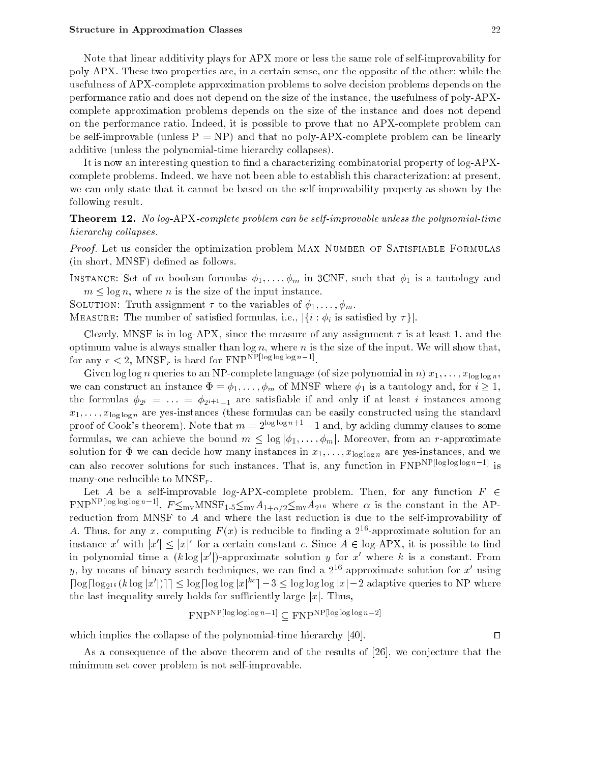Note that linear additivity plays for APX more or less the same role of self-improvability for poly-APX. These two properties are, in a certain sense, one the opposite of the other: while the usefulness of APX-complete approximation problems to solve decision problems depends on the performance ratio and does not depend on the size of the instance, the usefulness of poly-APXcomplete approximation problems depends on the size of the instance and does not depend on the performance ratio. Indeed, it is possible to prove that no APX-complete problem can be self-improvable (unless  $P = NP$ ) and that no poly-APX-complete problem can be linearly additive (unless the polynomial-time hierarchy collapses).

It is now an interesting question to find a characterizing combinatorial property of log-APXcomplete problems. Indeed, we have not been able to establish this characterization: at present, we can only state that it cannot be based on the self-improvability property as shown by the following result.

Theorem 12. No log-APX-complete problem can be self-improvable unless the polynomial-time hierarchy collapses.

Proof. Let us consider the optimization problem MAX NUMBER OF SATISFIABLE FORMULAS (in short, MNSF) defined as follows.

INSTANCE: Set of m boolean formulas  $\phi_1, \ldots, \phi_m$  in 3CNF, such that  $\phi_1$  is a tautology and  $m \leq \log n$ , where *n* is the size of the input instance.

SOLUTION: Truth assignment  $\tau$  to the variables of  $\phi_1, \ldots, \phi_m$ .

MEASURE: The number of satisfied formulas, i.e.,  $|\{i : \phi_i\}$  is satisfied by  $\tau\}|$ .

Clearly, MNSF is in log-APX, since the measure of any assignment  $\tau$  is at least 1, and the optimum value is always smaller than  $\log n$ , where n is the size of the input. We will show that, for any  $r < 2$ , wind  $r_r$  is nard for FNP is the set of log log log in  $r$ .

Given log log n queries to an NP-complete language (of size polynomial in n)  $x_1, \ldots, x_{\log \log n}$ , we can construct an instance  $\Phi = \phi_1, \ldots, \phi_m$  of MNSF where  $\phi_1$  is a tautology and, for  $i \geq 1$ , the formulas  $\phi_{2i} = \ldots = \phi_{2i+1-1}$  are satisfiable if and only if at least i instances among  $x_1, \ldots, x_{\log \log n}$  are yes-instances (these formulas can be easily constructed using the standard proof of Cook's theorem). Note that  $m = 2^{\log \log n + 1} - 1$  and, by adding dummy clauses to some formulas, we can achieve the bound  $m \leq \log |\phi_1, \ldots, \phi_m|$ . Moreover, from an r-approximate solution for  $\Phi$  we can decide how many instances in  $x_1, \ldots, x_{\log \log n}$  are yes-instances, and we can also recover solutions for such instances. That is, any function in  $FNP<sup>NP[log log log n-1]</sup>$  is many-one reducible to  $MNSF_r$ .

Let A be a self-improvable log-APX-complete problem. Then, for any function  $F \in$ FNP<sup>22</sup> Properties in Fig.  $f \leq_{\text{mv}} M N N \delta \Gamma_{1.5} \leq_{\text{mv}} A_{1+\alpha/2} \leq_{\text{mv}} A_{2^{16}}$  where  $\alpha$  is the constant in the APreduction from MNSF to A and where the last reduction is due to the self-improvability of A. Thus, for any x, computing  $F(x)$  is reducible to finding a  $2^{16}$ -approximate solution for an instance  $x$  with  $|x| \leq |x|$  for a certain constant c. Since  $A \in \log-AP\Lambda,$  it is possible to find in polynomial time a (k log  $x$  )-approximate solution  $y$  for  $x$  -where k is a constant. From  $y$ , by means of binary search techniques, we can find a 211-approximate solution for  $x$  using  $\log \log_{2^{16}} (k \log |x|)$  |  $\leq \log \log \log |x|$  =  $\delta \leq \log \log \log |x|$  = 2 adaptive queries to NP where the last inequality surely holds for sufficiently large  $|x|$ . Thus,

$$
FNPNP[log log log n-1] \subset FNPNP[log log log n-2]
$$

which implies the collapse of the polynomial-time hierarchy  $[40]$ .

As a consequence of the above theorem and of the results of [26], we conjecture that the minimum set cover problem is not self-improvable.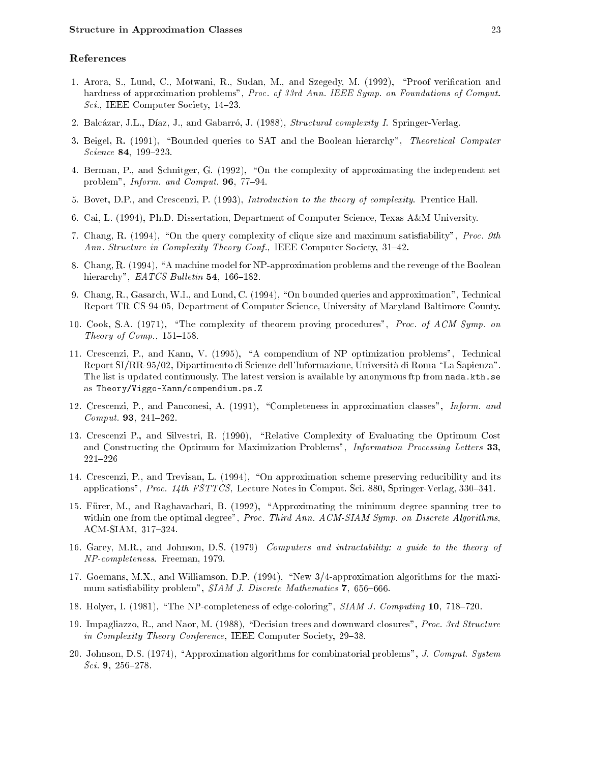## References

- 1. Arora, S., Lund, C., Motwani, R., Sudan, M., and Szegedy, M. (1992), "Proof verification and hardness of approximation problems", Proc. of 33rd Ann. IEEE Symp. on Foundations of Comput. Sci., IEEE Computer Society,  $14-23$ .
- 2. Balcázar, J.L., Díaz, J., and Gabarró, J. (1988), Structural complexity I. Springer-Verlag.
- 3. Beigel, R. (1991), "Bounded queries to SAT and the Boolean hierarchy", Theoretical Computer  $Science 84, 199-223.$
- 4. Berman, P., and Schnitger, G. (1992), "On the complexity of approximating the independent set problem", Inform. and Comput. 96, 77-94.
- 5. Bovet, D.P., and Crescenzi, P. (1993), Introduction to the theory of complexity. Prentice Hall.
- 6. Cai, L. (1994), Ph.D. Dissertation, Department of Computer Science, Texas A&M University.
- 7. Chang, R. (1994), "On the query complexity of clique size and maximum satisfiability", Proc. 9th Ann. Structure in Complexity Theory Conf., IEEE Computer Society,  $31-42$ .
- 8. Chang, R. (1994), "A machine model for NP-approximation problems and the revenge of the Boolean hierarchy",  $\emph{EATCS Bulletin}$  54, 166-182.
- 9. Chang, R., Gasarch, W.I., and Lund, C.  $(1994)$ , "On bounded queries and approximation", Technical Report TR CS-94-05, Department of Computer Science, University of Maryland Baltimore County.
- 10. Cook, S.A. (1971), "The complexity of theorem proving procedures", *Proc. of ACM Symp. on* Theory of  $Comp.$ , 151-158.
- 11. Crescenzi, P., and Kann, V. (1995), \A compendium of NP optimization problems", Technical Report SI/RR-95/02, Dipartimento di Scienze dell'Informazione, Universita di Roma \La Sapienza". The list is updated continuously. The latest version is available by anonymous ftp from nada.kth.se as Theory/Viggo-Kann/compendium.ps.Z
- 12. Crescenzi, P., and Panconesi, A. (1991), "Completeness in approximation classes", *Inform. and*  $Comput.$  **93**, 241-262.
- 13. Crescenzi P., and Silvestri, R. (1990), "Relative Complexity of Evaluating the Optimum Cost and Constructing the Optimum for Maximization Problems", Information Processing Letters 33,  $221 - 226$
- 14. Crescenzi, P., and Trevisan, L. (1994), "On approximation scheme preserving reducibility and its applications", Proc.  $14$ th FSTTCS, Lecture Notes in Comput. Sci. 880, Springer-Verlag, 330–341.
- 15. Furer, M., and Raghavachari, B. (1992), \Approximating the minimum degree spanning tree to within one from the optimal degree", Proc. Third Ann. ACM-SIAM Symp. on Discrete Algorithms, ACM-SIAM, 317-324.
- 16. Garey, M.R., and Johnson, D.S. (1979) Computers and intractability: a guide to the theory of NP-completeness. Freeman, 1979.
- 17. Goemans, M.X., and Williamson, D.P. (1994), "New 3/4-approximation algorithms for the maximum satisfiability problem", SIAM J. Discrete Mathematics 7, 656-666.
- 18. Holyer, I. (1981), "The NP-completeness of edge-coloring", SIAM J. Computing 10, 718-720.
- 19. Impagliazzo, R., and Naor, M. (1988), "Decision trees and downward closures", Proc. 3rd Structure in Complexity Theory Conference, IEEE Computer Society, 29-38.
- 20. Johnson, D.S.  $(1974)$ , "Approximation algorithms for combinatorial problems", J. Comput. System  $Sci. 9, 256-278.$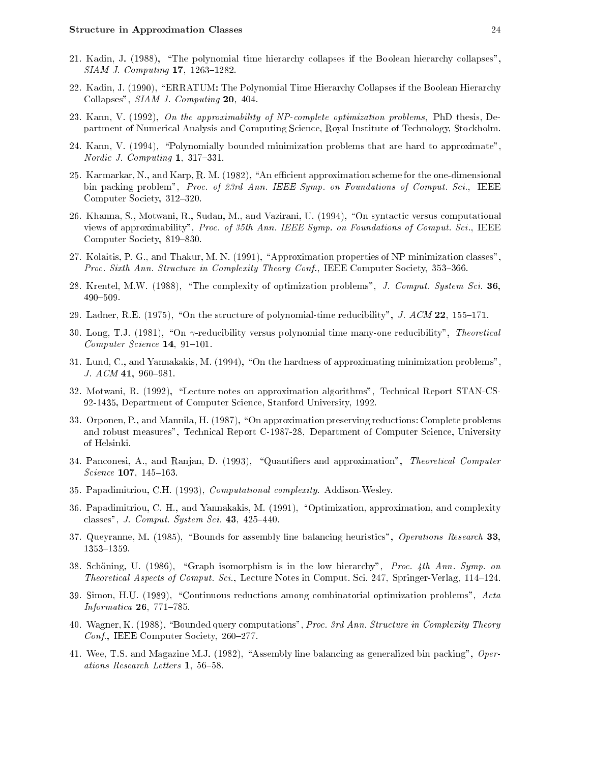- 21. Kadin, J. (1988), "The polynomial time hierarchy collapses if the Boolean hierarchy collapses",  $SIAM$  J. Computing  $17$ ,  $1263-1282$ .
- 22. Kadin, J. (1990), \ERRATUM: The Polynomial Time Hierarchy Collapses if the Boolean Hierarchy Collapses", SIAM J. Computing 20, 404.
- 23. Kann, V. (1992), On the approximability of NP-complete optimization problems, PhD thesis, Department of Numerical Analysis and Computing Science, Royal Institute of Technology, Stockholm.
- 24. Kann, V. (1994), "Polynomially bounded minimization problems that are hard to approximate", Nordic J. Computing  $1, 317-331$ .
- 25. Karmarkar, N., and Karp, R. M. (1982), "An efficient approximation scheme for the one-dimensional bin packing problem", Proc. of 23rd Ann. IEEE Symp. on Foundations of Comput. Sci., IEEE Computer Society, 312–320.
- 26. Khanna, S., Motwani, R., Sudan, M., and Vazirani, U. (1994), "On syntactic versus computational views of approximability", Proc. of 35th Ann. IEEE Symp. on Foundations of Comput. Sci., IEEE Computer Society, 819-830.
- 27. Kolaitis, P. G., and Thakur, M. N. (1991), \Approximation properties of NP minimization classes", Proc. Sixth Ann. Structure in Complexity Theory Conf., IEEE Computer Society, 353-366.
- 28. Krentel, M.W. (1988), "The complexity of optimization problems", J. Comput. System Sci. 36, 490-509.
- 29. Ladner, R.E. (1975), "On the structure of polynomial-time reducibility", J.  $ACM$  22, 155-171.
- 30. Long, T.J. (1981), "On  $\gamma$ -reducibility versus polynomial time many-one reducibility", *Theoretical*  $Computer\, Science\,14, 91-101.$
- 31. Lund, C., and Yannakakis, M. (1994), "On the hardness of approximating minimization problems", J.  $ACM$  41, 960–981.
- 32. Motwani, R. (1992), \Lecture notes on approximation algorithms", Technical Report STAN-CS-92-1435, Department of Computer Science, Stanford University, 1992.
- 33. Orponen, P., and Mannila, H. (1987), "On approximation preserving reductions: Complete problems and robust measures", Technical Report C-1987-28, Department of Computer Science, University of Helsinki.
- 34. Panconesi, A., and Ranjan, D. (1993), "Quantifiers and approximation", Theoretical Computer Science  $107, 145-163$ .
- 35. Papadimitriou, C.H. (1993), Computational complexity. Addison-Wesley.
- 36. Papadimitriou, C. H., and Yannakakis, M. (1991), "Optimization, approximation, and complexity classes", J. Comput. System Sci.  $43, 425{-}440$ .
- 37. Queyranne, M. (1985), "Bounds for assembly line balancing heuristics", Operations Research 33, 1353-1359.
- 38. Schöning, U. (1986), "Graph isomorphism is in the low hierarchy", Proc. 4th Ann. Symp. on *Theoretical Aspects of Comput. Sci.*, Lecture Notes in Comput. Sci. 247, Springer-Verlag, 114-124.
- 39. Simon, H.U.  $(1989)$ , "Continuous reductions among combinatorial optimization problems", Acta Informatica  $26$ ,  $771-785$ .
- 40. Wagner, K. (1988), "Bounded query computations", Proc. 3rd Ann. Structure in Complexity Theory Conf., IEEE Computer Society, 260-277.
- 41. Wee, T.S. and Magazine M.J. (1982), "Assembly line balancing as generalized bin packing",  $Oper$ ations Research Letters  $1, 56-58$ .